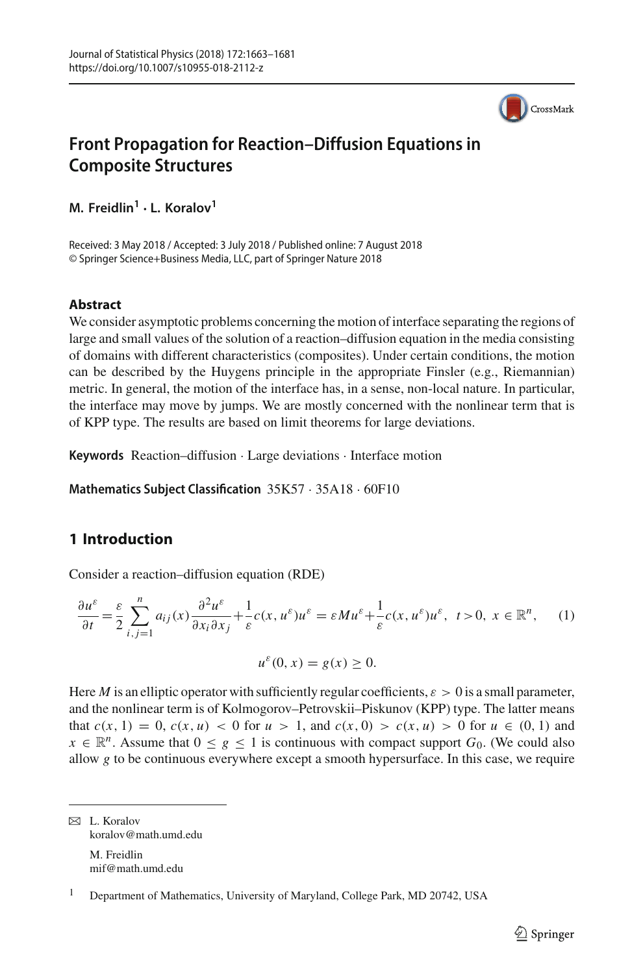

# **Front Propagation for Reaction–Diffusion Equations in Composite Structures**

**M. Freidlin<sup>1</sup> · L. Koralov1**

Received: 3 May 2018 / Accepted: 3 July 2018 / Published online: 7 August 2018 © Springer Science+Business Media, LLC, part of Springer Nature 2018

## **Abstract**

We consider asymptotic problems concerning the motion of interface separating the regions of large and small values of the solution of a reaction–diffusion equation in the media consisting of domains with different characteristics (composites). Under certain conditions, the motion can be described by the Huygens principle in the appropriate Finsler (e.g., Riemannian) metric. In general, the motion of the interface has, in a sense, non-local nature. In particular, the interface may move by jumps. We are mostly concerned with the nonlinear term that is of KPP type. The results are based on limit theorems for large deviations.

**Keywords** Reaction–diffusion · Large deviations · Interface motion

**Mathematics Subject Classification** 35K57 · 35A18 · 60F10

# <span id="page-0-1"></span>**1 Introduction**

Consider a reaction–diffusion equation (RDE)

<span id="page-0-0"></span>
$$
\frac{\partial u^{\varepsilon}}{\partial t} = \frac{\varepsilon}{2} \sum_{i,j=1}^{n} a_{ij}(x) \frac{\partial^2 u^{\varepsilon}}{\partial x_i \partial x_j} + \frac{1}{\varepsilon} c(x, u^{\varepsilon}) u^{\varepsilon} = \varepsilon M u^{\varepsilon} + \frac{1}{\varepsilon} c(x, u^{\varepsilon}) u^{\varepsilon}, \ t > 0, \ x \in \mathbb{R}^n, \quad (1)
$$

$$
u^{\varepsilon}(0,x) = g(x) \ge 0.
$$

Here *M* is an elliptic operator with sufficiently regular coefficients,  $\varepsilon > 0$  is a small parameter, and the nonlinear term is of Kolmogorov–Petrovskii–Piskunov (KPP) type. The latter means that  $c(x, 1) = 0$ ,  $c(x, u) < 0$  for  $u > 1$ , and  $c(x, 0) > c(x, u) > 0$  for  $u \in (0, 1)$  and  $x \in \mathbb{R}^n$ . Assume that  $0 \leq g \leq 1$  is continuous with compact support  $G_0$ . (We could also allow *g* to be continuous everywhere except a smooth hypersurface. In this case, we require

 $\boxtimes$  L. Koralov koralov@math.umd.edu M. Freidlin mif@math.umd.edu

<sup>1</sup> Department of Mathematics, University of Maryland, College Park, MD 20742, USA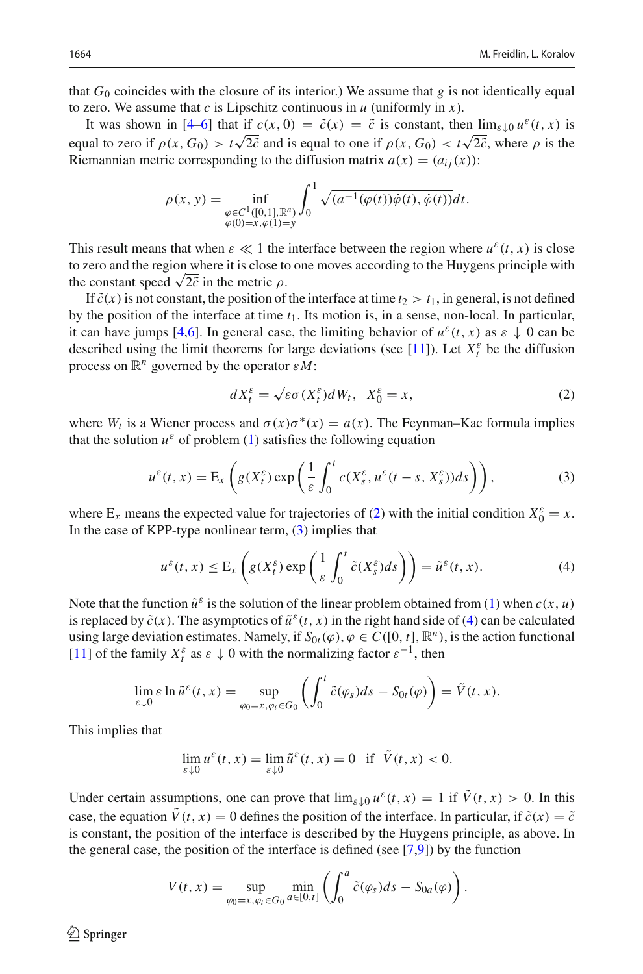that  $G_0$  coincides with the closure of its interior.) We assume that  $g$  is not identically equal to zero. We assume that  $c$  is Lipschitz continuous in  $u$  (uniformly in  $x$ ).

It was shown in [\[4](#page-17-0)[–6](#page-17-1)] that if  $c(x, 0) = \tilde{c}(x) = \tilde{c}$  is constant, then  $\lim_{\varepsilon \downarrow 0} u^{\varepsilon}(t, x)$  is equal to zero if  $\rho(x, G_0) > t\sqrt{2\tilde{c}}$  and is equal to one if  $\rho(x, G_0) < t\sqrt{2\tilde{c}}$ , where  $\rho$  is the Riemannian metric corresponding to the diffusion matrix  $a(x) = (a_{ij}(x))$ :

$$
\rho(x, y) = \inf_{\substack{\varphi \in C^1([0, 1], \mathbb{R}^n) \\ \varphi(0) = x, \varphi(1) = y}} \int_0^1 \sqrt{(a^{-1}(\varphi(t))\dot{\varphi}(t), \dot{\varphi}(t))} dt.
$$

This result means that when  $\varepsilon \ll 1$  the interface between the region where  $u^{\varepsilon}(t, x)$  is close to zero and the region where it is close to one moves according to the Huygens principle with the constant speed  $\sqrt{2c}$  in the metric  $\rho$ .

If  $\tilde{c}(x)$  is not constant, the position of the interface at time  $t_2 > t_1$ , in general, is not defined by the position of the interface at time *t*1. Its motion is, in a sense, non-local. In particular, it can have jumps [\[4](#page-17-0)[,6](#page-17-1)]. In general case, the limiting behavior of  $u^{\varepsilon}(t, x)$  as  $\varepsilon \downarrow 0$  can be described using the limit theorems for large deviations (see [\[11](#page-18-0)]). Let  $X_t^{\varepsilon}$  be the diffusion process on R*<sup>n</sup>* governed by the operator ε*M*:

<span id="page-1-0"></span>
$$
dX_t^{\varepsilon} = \sqrt{\varepsilon}\sigma(X_t^{\varepsilon})dW_t, \quad X_0^{\varepsilon} = x,\tag{2}
$$

where  $W_t$  is a Wiener process and  $\sigma(x)\sigma^*(x) = a(x)$ . The Feynman–Kac formula implies that the solution  $u^{\varepsilon}$  of problem [\(1\)](#page-0-0) satisfies the following equation

<span id="page-1-1"></span>
$$
u^{\varepsilon}(t,x) = \mathcal{E}_x\left(g(X_t^{\varepsilon})\exp\left(\frac{1}{\varepsilon}\int_0^t c(X_s^{\varepsilon}, u^{\varepsilon}(t-s, X_s^{\varepsilon}))ds\right)\right),\tag{3}
$$

where  $E_x$  means the expected value for trajectories of [\(2\)](#page-1-0) with the initial condition  $X_0^{\varepsilon} = x$ . In the case of KPP-type nonlinear term,  $(3)$  implies that

<span id="page-1-2"></span>
$$
u^{\varepsilon}(t,x) \leq \mathcal{E}_{x}\left(g(X_t^{\varepsilon})\exp\left(\frac{1}{\varepsilon}\int_0^t \tilde{c}(X_s^{\varepsilon})ds\right)\right) = \tilde{u}^{\varepsilon}(t,x). \tag{4}
$$

Note that the function  $\tilde{u}^{\varepsilon}$  is the solution of the linear problem obtained from [\(1\)](#page-0-0) when  $c(x, u)$ is replaced by  $\tilde{c}(x)$ . The asymptotics of  $\tilde{u}^{\varepsilon}(t, x)$  in the right hand side of [\(4\)](#page-1-2) can be calculated using large deviation estimates. Namely, if  $S_{0t}(\varphi), \varphi \in C([0, t], \mathbb{R}^n)$ , is the action functional [\[11\]](#page-18-0) of the family  $X_t^{\varepsilon}$  as  $\varepsilon \downarrow 0$  with the normalizing factor  $\varepsilon^{-1}$ , then

$$
\lim_{\varepsilon \downarrow 0} \varepsilon \ln \tilde{u}^{\varepsilon}(t, x) = \sup_{\varphi_0 = x, \varphi_t \in G_0} \left( \int_0^t \tilde{c}(\varphi_s) ds - S_{0t}(\varphi) \right) = \tilde{V}(t, x).
$$

This implies that

$$
\lim_{\varepsilon \downarrow 0} u^{\varepsilon}(t, x) = \lim_{\varepsilon \downarrow 0} \tilde{u}^{\varepsilon}(t, x) = 0 \text{ if } \tilde{V}(t, x) < 0.
$$

Under certain assumptions, one can prove that  $\lim_{\varepsilon \downarrow 0} u^{\varepsilon}(t, x) = 1$  if  $\tilde{V}(t, x) > 0$ . In this case, the equation  $\hat{V}(t, x) = 0$  defines the position of the interface. In particular, if  $\tilde{c}(x) = \tilde{c}$ is constant, the position of the interface is described by the Huygens principle, as above. In the general case, the position of the interface is defined (see [\[7](#page-17-2)[,9](#page-17-3)]) by the function

$$
V(t,x) = \sup_{\varphi_0 = x, \varphi_t \in G_0} \min_{a \in [0,t]} \left( \int_0^a \tilde{c}(\varphi_s) ds - S_{0a}(\varphi) \right).
$$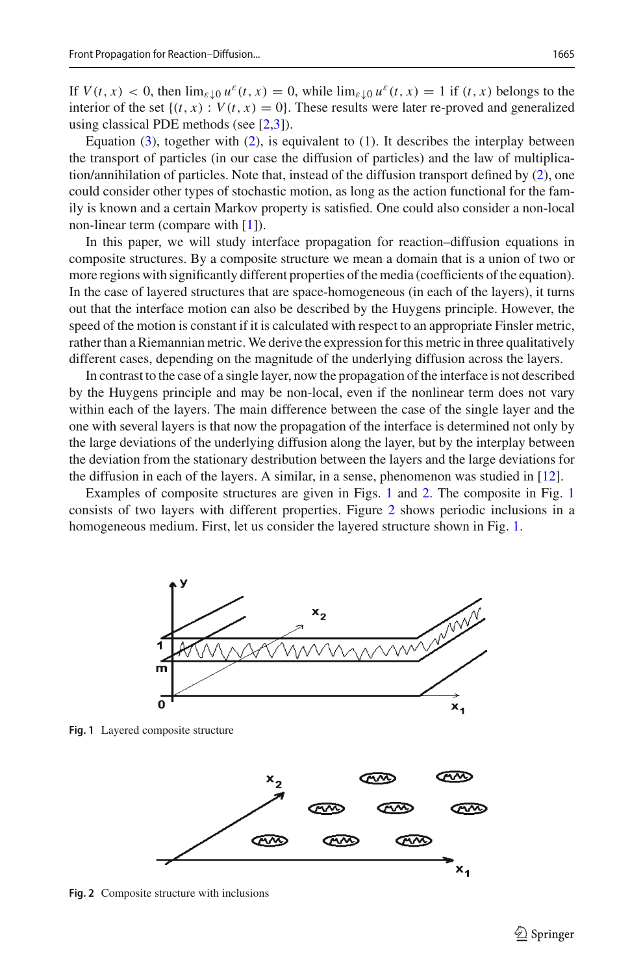If  $V(t, x) < 0$ , then  $\lim_{\varepsilon \downarrow 0} u^{\varepsilon}(t, x) = 0$ , while  $\lim_{\varepsilon \downarrow 0} u^{\varepsilon}(t, x) = 1$  if  $(t, x)$  belongs to the interior of the set  $\{(t, x) : V(t, x) = 0\}$ . These results were later re-proved and generalized using classical PDE methods (see [\[2](#page-17-4)[,3\]](#page-17-5)).

Equation  $(3)$ , together with  $(2)$ , is equivalent to  $(1)$ . It describes the interplay between the transport of particles (in our case the diffusion of particles) and the law of multiplication/annihilation of particles. Note that, instead of the diffusion transport defined by [\(2\)](#page-1-0), one could consider other types of stochastic motion, as long as the action functional for the family is known and a certain Markov property is satisfied. One could also consider a non-local non-linear term (compare with [\[1](#page-17-6)]).

In this paper, we will study interface propagation for reaction–diffusion equations in composite structures. By a composite structure we mean a domain that is a union of two or more regions with significantly different properties of the media (coefficients of the equation). In the case of layered structures that are space-homogeneous (in each of the layers), it turns out that the interface motion can also be described by the Huygens principle. However, the speed of the motion is constant if it is calculated with respect to an appropriate Finsler metric, rather than a Riemannian metric. We derive the expression for this metric in three qualitatively different cases, depending on the magnitude of the underlying diffusion across the layers.

In contrast to the case of a single layer, now the propagation of the interface is not described by the Huygens principle and may be non-local, even if the nonlinear term does not vary within each of the layers. The main difference between the case of the single layer and the one with several layers is that now the propagation of the interface is determined not only by the large deviations of the underlying diffusion along the layer, but by the interplay between the deviation from the stationary destribution between the layers and the large deviations for the diffusion in each of the layers. A similar, in a sense, phenomenon was studied in [\[12](#page-18-1)].

Examples of composite structures are given in Figs. [1](#page-2-0) and [2.](#page-2-1) The composite in Fig. [1](#page-2-0) consists of two layers with different properties. Figure [2](#page-2-1) shows periodic inclusions in a homogeneous medium. First, let us consider the layered structure shown in Fig. [1.](#page-2-0)



<span id="page-2-0"></span>**Fig. 1** Layered composite structure



<span id="page-2-1"></span>**Fig. 2** Composite structure with inclusions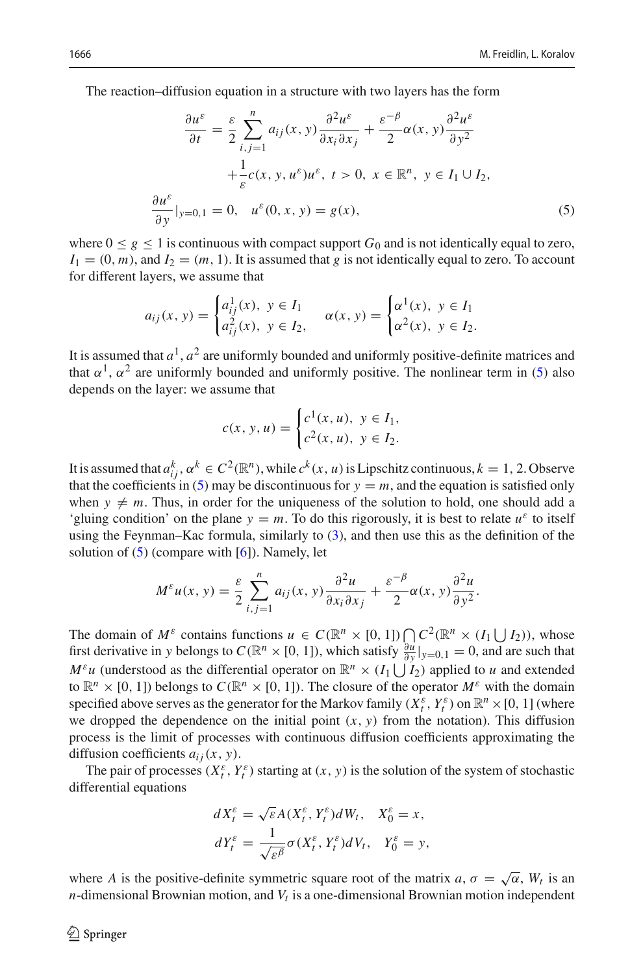The reaction–diffusion equation in a structure with two layers has the form

<span id="page-3-0"></span>
$$
\frac{\partial u^{\varepsilon}}{\partial t} = \frac{\varepsilon}{2} \sum_{i,j=1}^{n} a_{ij}(x, y) \frac{\partial^2 u^{\varepsilon}}{\partial x_i \partial x_j} + \frac{\varepsilon^{-\beta}}{2} \alpha(x, y) \frac{\partial^2 u^{\varepsilon}}{\partial y^2} + \frac{1}{\varepsilon} c(x, y, u^{\varepsilon}) u^{\varepsilon}, \ t > 0, \ x \in \mathbb{R}^n, \ y \in I_1 \cup I_2,
$$
  

$$
\frac{\partial u^{\varepsilon}}{\partial y}|_{y=0,1} = 0, \ u^{\varepsilon}(0, x, y) = g(x), \tag{5}
$$

where  $0 \le g \le 1$  is continuous with compact support  $G_0$  and is not identically equal to zero,  $I_1 = (0, m)$ , and  $I_2 = (m, 1)$ . It is assumed that *g* is not identically equal to zero. To account for different layers, we assume that

$$
a_{ij}(x, y) = \begin{cases} a_{ij}^1(x), & y \in I_1 \\ a_{ij}^2(x), & y \in I_2, \end{cases} \quad \alpha(x, y) = \begin{cases} \alpha^1(x), & y \in I_1 \\ \alpha^2(x), & y \in I_2. \end{cases}
$$

It is assumed that  $a^1$ ,  $a^2$  are uniformly bounded and uniformly positive-definite matrices and that  $\alpha^1$ ,  $\alpha^2$  are uniformly bounded and uniformly positive. The nonlinear term in [\(5\)](#page-3-0) also depends on the layer: we assume that

$$
c(x, y, u) = \begin{cases} c^{1}(x, u), & y \in I_1, \\ c^{2}(x, u), & y \in I_2. \end{cases}
$$

It is assumed that  $a_{ij}^k$ ,  $\alpha^k \in C^2(\mathbb{R}^n)$ , while  $c^k(x, u)$  is Lipschitz continuous,  $k = 1, 2$ . Observe that the coefficients in [\(5\)](#page-3-0) may be discontinuous for  $y = m$ , and the equation is satisfied only when  $y \neq m$ . Thus, in order for the uniqueness of the solution to hold, one should add a 'gluing condition' on the plane  $y = m$ . To do this rigorously, it is best to relate  $u^{\varepsilon}$  to itself using the Feynman–Kac formula, similarly to [\(3\)](#page-1-1), and then use this as the definition of the solution of  $(5)$  (compare with  $[6]$ ). Namely, let

$$
M^{\varepsilon}u(x, y) = \frac{\varepsilon}{2} \sum_{i,j=1}^{n} a_{ij}(x, y) \frac{\partial^2 u}{\partial x_i \partial x_j} + \frac{\varepsilon^{-\beta}}{2} \alpha(x, y) \frac{\partial^2 u}{\partial y^2}.
$$

The domain of  $M^{\varepsilon}$  contains functions  $u \in C(\mathbb{R}^n \times [0, 1]) \bigcap C^2(\mathbb{R}^n \times (I_1 \cup I_2))$ , whose first derivative in *y* belongs to  $C(\mathbb{R}^n \times [0, 1])$ , which satisfy  $\frac{\partial u}{\partial y}|_{y=0,1} = 0$ , and are such that *M*<sup>ε</sup>*u* (understood as the differential operator on  $\mathbb{R}^n \times (I_1 \cup I_2)$  applied to *u* and extended to  $\mathbb{R}^n \times [0, 1]$ ) belongs to  $C(\mathbb{R}^n \times [0, 1])$ . The closure of the operator  $M^{\varepsilon}$  with the domain specified above serves as the generator for the Markov family  $(X_t^{\varepsilon}, Y_t^{\varepsilon})$  on  $\mathbb{R}^n \times [0, 1]$  (where we dropped the dependence on the initial point  $(x, y)$  from the notation). This diffusion process is the limit of processes with continuous diffusion coefficients approximating the diffusion coefficients  $a_{ij}(x, y)$ .

The pair of processes  $(X_t^{\varepsilon}, Y_t^{\varepsilon})$  starting at  $(x, y)$  is the solution of the system of stochastic differential equations

$$
dX_t^{\varepsilon} = \sqrt{\varepsilon}A(X_t^{\varepsilon}, Y_t^{\varepsilon})dW_t, \quad X_0^{\varepsilon} = x,
$$
  

$$
dY_t^{\varepsilon} = \frac{1}{\sqrt{\varepsilon^{\beta}}} \sigma(X_t^{\varepsilon}, Y_t^{\varepsilon})dV_t, \quad Y_0^{\varepsilon} = y,
$$

where *A* is the positive-definite symmetric square root of the matrix  $a, \sigma = \sqrt{\alpha}$ ,  $W_t$  is an  $n$ -dimensional Brownian motion, and  $V_t$  is a one-dimensional Brownian motion independent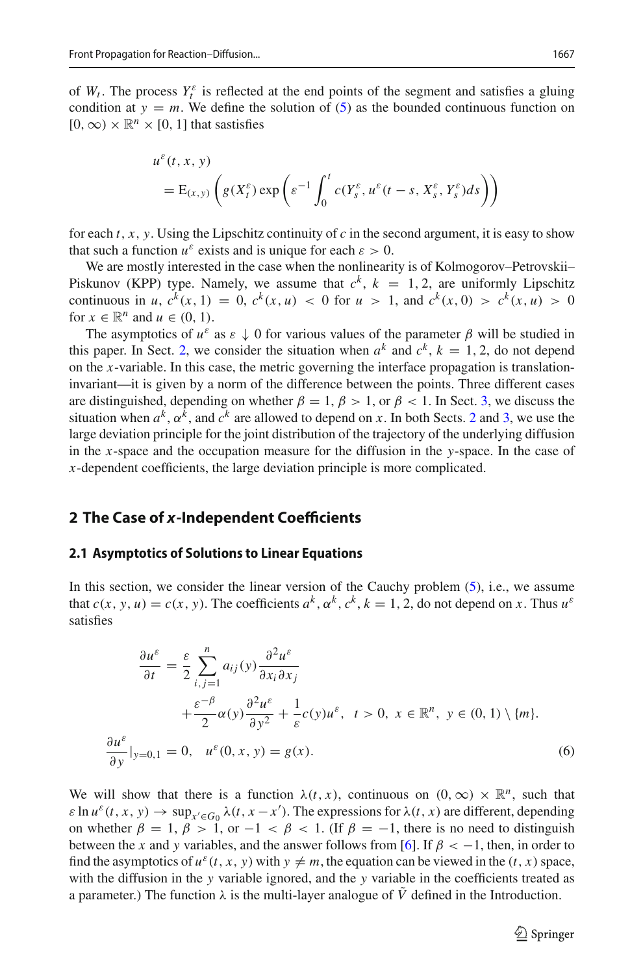of  $W_t$ . The process  $Y_t^{\varepsilon}$  is reflected at the end points of the segment and satisfies a gluing condition at  $y = m$ . We define the solution of [\(5\)](#page-3-0) as the bounded continuous function on  $[0, \infty) \times \mathbb{R}^n \times [0, 1]$  that sastisfies

$$
u^{\varepsilon}(t, x, y)
$$
  
= E<sub>(x,y)</sub>  $\left( g(X_t^{\varepsilon}) \exp \left( \varepsilon^{-1} \int_0^t c(Y_s^{\varepsilon}, u^{\varepsilon}(t-s, X_s^{\varepsilon}, Y_s^{\varepsilon}) ds \right) \right)$ 

for each  $t$ ,  $x$ ,  $y$ . Using the Lipschitz continuity of  $c$  in the second argument, it is easy to show that such a function  $u^{\varepsilon}$  exists and is unique for each  $\varepsilon > 0$ .

We are mostly interested in the case when the nonlinearity is of Kolmogorov–Petrovskii– Piskunov (KPP) type. Namely, we assume that  $c^k$ ,  $k = 1, 2$ , are uniformly Lipschitz continuous in *u*,  $c^k(x, 1) = 0$ ,  $c^k(x, u) < 0$  for  $u > 1$ , and  $c^k(x, 0) > c^k(x, u) > 0$ for  $x \in \mathbb{R}^n$  and  $u \in (0, 1)$ .

The asymptotics of  $u^{\varepsilon}$  as  $\varepsilon \downarrow 0$  for various values of the parameter  $\beta$  will be studied in this paper. In Sect. [2,](#page-4-0) we consider the situation when  $a^k$  and  $c^k$ ,  $k = 1, 2$ , do not depend on the *x*-variable. In this case, the metric governing the interface propagation is translationinvariant—it is given by a norm of the difference between the points. Three different cases are distinguished, depending on whether  $\beta = 1$ ,  $\beta > 1$ , or  $\beta < 1$ . In Sect. [3,](#page-11-0) we discuss the situation when  $a^k$ ,  $\alpha^k$ , and  $c^k$  are allowed to depend on *x*. In both Sects. [2](#page-4-0) and [3,](#page-11-0) we use the large deviation principle for the joint distribution of the trajectory of the underlying diffusion in the *x*-space and the occupation measure for the diffusion in the *y*-space. In the case of *x*-dependent coefficients, the large deviation principle is more complicated.

### <span id="page-4-0"></span>**2 The Case of** *x***-Independent Coefficients**

#### <span id="page-4-2"></span>**2.1 Asymptotics of Solutions to Linear Equations**

In this section, we consider the linear version of the Cauchy problem [\(5\)](#page-3-0), i.e., we assume that  $c(x, y, u) = c(x, y)$ . The coefficients  $a^k, \alpha^k, c^k, k = 1, 2$ , do not depend on *x*. Thus  $u^{\varepsilon}$ satisfies

<span id="page-4-1"></span>
$$
\frac{\partial u^{\varepsilon}}{\partial t} = \frac{\varepsilon}{2} \sum_{i,j=1}^{n} a_{ij}(y) \frac{\partial^2 u^{\varepsilon}}{\partial x_i \partial x_j} \n+ \frac{\varepsilon^{-\beta}}{2} \alpha(y) \frac{\partial^2 u^{\varepsilon}}{\partial y^2} + \frac{1}{\varepsilon} c(y) u^{\varepsilon}, \quad t > 0, \ x \in \mathbb{R}^n, \ y \in (0, 1) \setminus \{m\}.
$$
\n
$$
\frac{\partial u^{\varepsilon}}{\partial y}|_{y=0,1} = 0, \quad u^{\varepsilon}(0, x, y) = g(x).
$$
\n(6)

We will show that there is a function  $\lambda(t, x)$ , continuous on  $(0, \infty) \times \mathbb{R}^n$ , such that  $\varepsilon \ln u^{\varepsilon}(t, x, y) \to \sup_{x' \in G_0} \lambda(t, x - x')$ . The expressions for  $\lambda(t, x)$  are different, depending on whether  $\beta = 1$ ,  $\beta > 1$ , or  $-1 < \beta < 1$ . (If  $\beta = -1$ , there is no need to distinguish between the *x* and *y* variables, and the answer follows from [\[6\]](#page-17-1). If  $\beta < -1$ , then, in order to find the asymptotics of  $u^{\varepsilon}(t, x, y)$  with  $y \neq m$ , the equation can be viewed in the  $(t, x)$  space, with the diffusion in the *y* variable ignored, and the *y* variable in the coefficients treated as a parameter.) The function  $\lambda$  is the multi-layer analogue of  $\tilde{V}$  defined in the Introduction.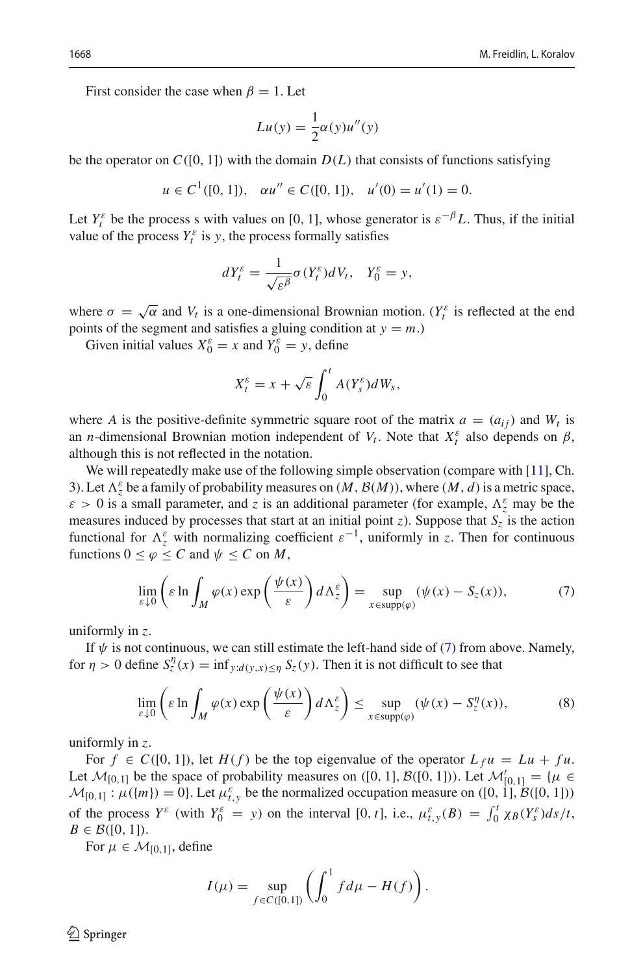First consider the case when  $\beta = 1$ . Let

$$
Lu(y) = \frac{1}{2}\alpha(y)u''(y)
$$

be the operator on  $C([0, 1])$  with the domain  $D(L)$  that consists of functions satisfying

$$
u \in C^1([0, 1]), \quad \alpha u'' \in C([0, 1]), \quad u'(0) = u'(1) = 0.
$$

Let  $Y_t^{\varepsilon}$  be the process s with values on [0, 1], whose generator is  $\varepsilon^{-\beta}L$ . Thus, if the initial value of the process  $Y_t^{\varepsilon}$  is *y*, the process formally satisfies

$$
dY_t^{\varepsilon} = \frac{1}{\sqrt{\varepsilon^{\beta}}} \sigma(Y_t^{\varepsilon}) dV_t, \quad Y_0^{\varepsilon} = y,
$$

where  $\sigma = \sqrt{\alpha}$  and  $V_t$  is a one-dimensional Brownian motion. ( $Y_t^{\varepsilon}$  is reflected at the end points of the segment and satisfies a gluing condition at  $y = m$ .)

Given initial values  $X_0^{\varepsilon} = x$  and  $Y_0^{\varepsilon} = y$ , define

$$
X_t^{\varepsilon} = x + \sqrt{\varepsilon} \int_0^t A(Y_s^{\varepsilon}) dW_s,
$$

where *A* is the positive-definite symmetric square root of the matrix  $a = (a_{ij})$  and  $W_t$  is an *n*-dimensional Brownian motion independent of  $V_t$ . Note that  $X_t^{\varepsilon}$  also depends on  $\beta$ , although this is not reflected in the notation.

We will repeatedly make use of the following simple observation (compare with [\[11](#page-18-0)], Ch. 3). Let  $\Lambda_z^{\varepsilon}$  be a family of probability measures on  $(M, \mathcal{B}(M))$ , where  $(M, d)$  is a metric space,  $\varepsilon > 0$  is a small parameter, and *z* is an additional parameter (for example,  $\Lambda_z^{\varepsilon}$  may be the measures induced by processes that start at an initial point *z*). Suppose that  $S_z$  is the action functional for  $\Lambda_z^{\varepsilon}$  with normalizing coefficient  $\varepsilon^{-1}$ , uniformly in *z*. Then for continuous functions  $0 \le \varphi \le C$  and  $\psi \le C$  on *M*,

<span id="page-5-0"></span>
$$
\lim_{\varepsilon \downarrow 0} \left( \varepsilon \ln \int_M \varphi(x) \exp\left(\frac{\psi(x)}{\varepsilon}\right) d\Lambda_z^{\varepsilon} \right) = \sup_{x \in \text{supp}(\varphi)} (\psi(x) - S_z(x)),\tag{7}
$$

uniformly in *z*.

If  $\psi$  is not continuous, we can still estimate the left-hand side of [\(7\)](#page-5-0) from above. Namely, for  $\eta > 0$  define  $S_z^{\eta}(x) = \inf_{y:d(y,x) \leq \eta} S_z(y)$ . Then it is not difficult to see that

<span id="page-5-1"></span>
$$
\lim_{\varepsilon \downarrow 0} \left( \varepsilon \ln \int_M \varphi(x) \exp\left(\frac{\psi(x)}{\varepsilon}\right) d\Lambda_z^{\varepsilon} \right) \le \sup_{x \in \text{supp}(\varphi)} (\psi(x) - S_z^{\eta}(x)),\tag{8}
$$

uniformly in *z*.

For  $f \in C([0, 1])$ , let  $H(f)$  be the top eigenvalue of the operator  $L_f u = Lu + fu$ . Let  $M_{[0,1]}$  be the space of probability measures on ([0, 1],  $B([0, 1])$ ). Let  $M'_{[0,1]} = \{ \mu \in \mathbb{R}^3 : \mu \geq 0 \}$  $M_{[0,1]}$ :  $\mu({m}) = 0$ . Let  $\mu_{t,y}^{\varepsilon}$  be the normalized occupation measure on ([0, 1],  $B([0, 1])$ ) of the process  $Y^{\varepsilon}$  (with  $Y_0^{\varepsilon} = y$ ) on the interval [0, *t*], i.e.,  $\mu_{t,y}^{\varepsilon}(B) = \int_0^t \chi_B(Y_s^{\varepsilon}) ds/t$ ,  $B \in \mathcal{B}([0, 1]).$ 

For  $\mu \in \mathcal{M}_{[0,1]}$ , define

$$
I(\mu) = \sup_{f \in C([0,1])} \left( \int_0^1 f d\mu - H(f) \right).
$$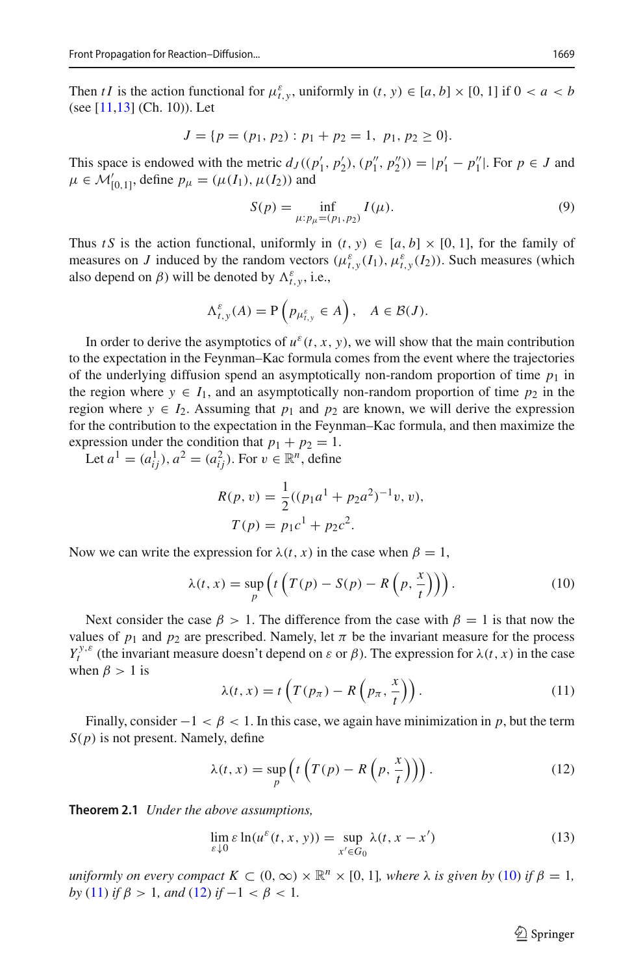Then *tI* is the action functional for  $\mu_{t,y}^{\varepsilon}$ , uniformly in  $(t, y) \in [a, b] \times [0, 1]$  if  $0 < a < b$ (see [\[11](#page-18-0)[,13](#page-18-2)] (Ch. 10)). Let

$$
J = \{ p = (p_1, p_2) : p_1 + p_2 = 1, p_1, p_2 \ge 0 \}.
$$

This space is endowed with the metric  $d_J((p'_1, p'_2), (p''_1, p''_2)) = |p'_1 - p''_1|$ . For  $p \in J$  and  $\mu \in \mathcal{M}'_{[0,1]}$ , define  $p_{\mu} = (\mu(I_1), \mu(I_2))$  and

$$
S(p) = \inf_{\mu: p_{\mu} = (p_1, p_2)} I(\mu).
$$
 (9)

Thus *t S* is the action functional, uniformly in  $(t, y) \in [a, b] \times [0, 1]$ , for the family of measures on *J* induced by the random vectors  $(\mu_{t,y}^{\varepsilon}(I_1), \mu_{t,y}^{\varepsilon}(I_2))$ . Such measures (which also depend on  $\beta$ ) will be denoted by  $\Lambda_{t,y}^{\varepsilon}$ , i.e.,

$$
\Lambda_{t,y}^{\varepsilon}(A) = \mathbf{P}\left(p_{\mu_{t,y}^{\varepsilon}} \in A\right), \quad A \in \mathcal{B}(J).
$$

In order to derive the asymptotics of  $u^{\varepsilon}(t, x, y)$ , we will show that the main contribution to the expectation in the Feynman–Kac formula comes from the event where the trajectories of the underlying diffusion spend an asymptotically non-random proportion of time  $p_1$  in the region where  $y \in I_1$ , and an asymptotically non-random proportion of time  $p_2$  in the region where  $y \in I_2$ . Assuming that  $p_1$  and  $p_2$  are known, we will derive the expression for the contribution to the expectation in the Feynman–Kac formula, and then maximize the expression under the condition that  $p_1 + p_2 = 1$ .

Let  $a^1 = (a_{ij}^1), a^2 = (a_{ij}^2)$ . For  $v \in \mathbb{R}^n$ , define

$$
R(p, v) = \frac{1}{2}((p_1a^1 + p_2a^2)^{-1}v, v),
$$
  
\n
$$
T(p) = p_1c^1 + p_2c^2.
$$

Now we can write the expression for  $\lambda(t, x)$  in the case when  $\beta = 1$ ,

<span id="page-6-0"></span>
$$
\lambda(t, x) = \sup_{p} \left( t \left( T(p) - S(p) - R\left( p, \frac{x}{t} \right) \right) \right). \tag{10}
$$

Next consider the case  $\beta > 1$ . The difference from the case with  $\beta = 1$  is that now the values of  $p_1$  and  $p_2$  are prescribed. Namely, let  $\pi$  be the invariant measure for the process *Y*<sup>*y*,ε</sup> (the invariant measure doesn't depend on  $\varepsilon$  or  $\beta$ ). The expression for  $\lambda(t, x)$  in the case when  $\beta > 1$  is

<span id="page-6-1"></span>
$$
\lambda(t, x) = t \left( T(p_{\pi}) - R\left(p_{\pi}, \frac{x}{t}\right) \right). \tag{11}
$$

Finally, consider  $-1 < \beta < 1$ . In this case, we again have minimization in p, but the term *S*(*p*) is not present. Namely, define

<span id="page-6-2"></span>
$$
\lambda(t, x) = \sup_{p} \left( t \left( T(p) - R\left(p, \frac{x}{t}\right) \right) \right). \tag{12}
$$

<span id="page-6-3"></span>**Theorem 2.1** *Under the above assumptions,*

$$
\lim_{\varepsilon \downarrow 0} \varepsilon \ln(u^{\varepsilon}(t, x, y)) = \sup_{x' \in G_0} \lambda(t, x - x')
$$
\n(13)

*uniformly on every compact*  $K \subset (0, \infty) \times \mathbb{R}^n \times [0, 1]$ *, where*  $\lambda$  *is given by* [\(10\)](#page-6-0) *if*  $\beta = 1$ *, by* [\(11\)](#page-6-1) *if*  $\beta > 1$ *, and* [\(12\)](#page-6-2) *if*  $-1 < \beta < 1$ *.*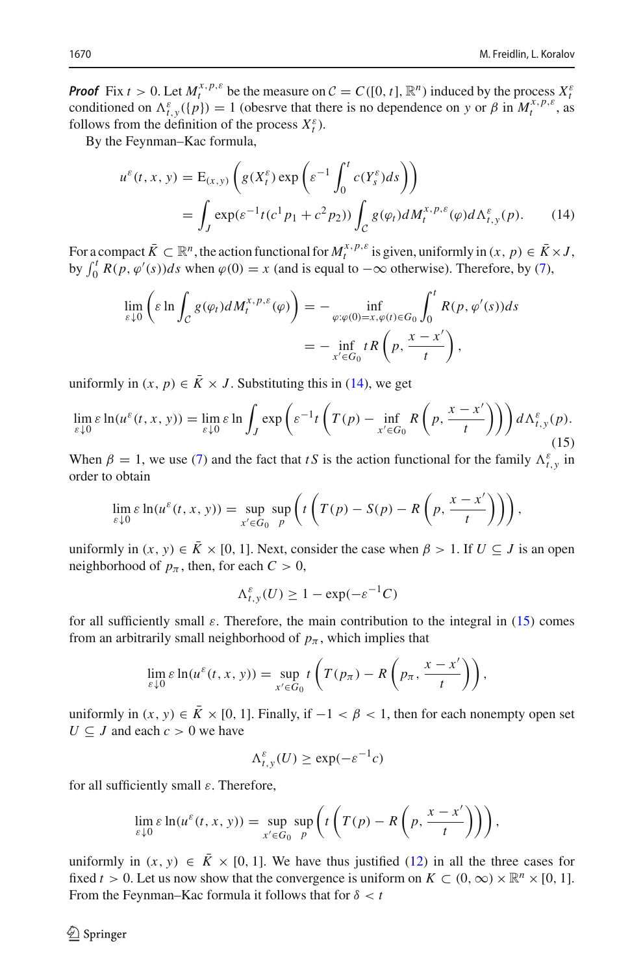*Proof* Fix  $t > 0$ . Let  $M_t^{x, p, \varepsilon}$  be the measure on  $C = C([0, t], \mathbb{R}^n)$  induced by the process  $X_t^{\varepsilon}$ conditioned on  $\Lambda_{t,y}^{\varepsilon}(\{p\}) = 1$  (obesrve that there is no dependence on *y* or  $\beta$  in  $M_t^{x,p,\varepsilon}$ , as follows from the definition of the process  $X_t^{\varepsilon}$ ).

By the Feynman–Kac formula,

<span id="page-7-0"></span>
$$
u^{\varepsilon}(t, x, y) = \mathcal{E}_{(x, y)} \left( g(X_t^{\varepsilon}) \exp \left( \varepsilon^{-1} \int_0^t c(Y_s^{\varepsilon}) ds \right) \right)
$$
  
= 
$$
\int_J \exp(\varepsilon^{-1} t (c^1 p_1 + c^2 p_2)) \int_C g(\varphi_t) dM_t^{x, p, \varepsilon}(\varphi) d\Lambda_{t, y}^{\varepsilon}(p).
$$
 (14)

For a compact  $\overline{K} \subset \mathbb{R}^n$ , the action functional for  $M_t^{x, p, \varepsilon}$  is given, uniformly in  $(x, p) \in \overline{K} \times J$ , by  $\int_0^t R(p, \varphi'(s))ds$  when  $\varphi(0) = x$  (and is equal to  $-\infty$  otherwise). Therefore, by [\(7\)](#page-5-0),

$$
\lim_{\varepsilon \downarrow 0} \left( \varepsilon \ln \int_{\mathcal{C}} g(\varphi_t) dM_t^{x, p, \varepsilon}(\varphi) \right) = - \inf_{\varphi: \varphi(0) = x, \varphi(t) \in G_0} \int_0^t R(p, \varphi'(s)) ds
$$

$$
= - \inf_{x' \in G_0} tR \left( p, \frac{x - x'}{t} \right),
$$

uniformly in  $(x, p) \in \overline{K} \times J$ . Substituting this in [\(14\)](#page-7-0), we get

<span id="page-7-1"></span>
$$
\lim_{\varepsilon \downarrow 0} \varepsilon \ln(u^{\varepsilon}(t, x, y)) = \lim_{\varepsilon \downarrow 0} \varepsilon \ln \int_{J} \exp \left( \varepsilon^{-1} t \left( T(p) - \inf_{x' \in G_0} R\left( p, \frac{x - x'}{t} \right) \right) \right) d \Lambda_{t, y}^{\varepsilon}(p). \tag{15}
$$

When  $\beta = 1$ , we use [\(7\)](#page-5-0) and the fact that *tS* is the action functional for the family  $\Lambda_{t,y}^{\varepsilon}$  in order to obtain

$$
\lim_{\varepsilon \downarrow 0} \varepsilon \ln(u^{\varepsilon}(t, x, y)) = \sup_{x' \in G_0} \sup_{p} \left( t \left( T(p) - S(p) - R\left( p, \frac{x - x'}{t} \right) \right) \right),
$$

uniformly in  $(x, y) \in \overline{K} \times [0, 1]$ . Next, consider the case when  $\beta > 1$ . If  $U \subseteq J$  is an open neighborhood of  $p_{\pi}$ , then, for each  $C > 0$ ,

$$
\Lambda_{t,y}^{\varepsilon}(U) \ge 1 - \exp(-\varepsilon^{-1}C)
$$

for all sufficiently small  $\varepsilon$ . Therefore, the main contribution to the integral in [\(15\)](#page-7-1) comes from an arbitrarily small neighborhood of  $p_{\pi}$ , which implies that

$$
\lim_{\varepsilon \downarrow 0} \varepsilon \ln(u^{\varepsilon}(t, x, y)) = \sup_{x' \in G_0} t \left( T(p_{\pi}) - R\left(p_{\pi}, \frac{x - x'}{t}\right) \right),
$$

uniformly in  $(x, y) \in \overline{K} \times [0, 1]$ . Finally, if  $-1 < \beta < 1$ , then for each nonempty open set  $U \subseteq J$  and each  $c > 0$  we have

$$
\Lambda_{t,y}^{\varepsilon}(U) \ge \exp(-\varepsilon^{-1}c)
$$

for all sufficiently small  $\varepsilon$ . Therefore,

$$
\lim_{\varepsilon \downarrow 0} \varepsilon \ln(u^{\varepsilon}(t, x, y)) = \sup_{x' \in G_0} \sup_{p} \left( t \left( T(p) - R\left(p, \frac{x - x'}{t}\right) \right) \right),
$$

uniformly in  $(x, y) \in \overline{K} \times [0, 1]$ . We have thus justified [\(12\)](#page-6-2) in all the three cases for fixed *t* > 0. Let us now show that the convergence is uniform on  $K \subset (0, \infty) \times \mathbb{R}^n \times [0, 1]$ . From the Feynman–Kac formula it follows that for  $\delta < t$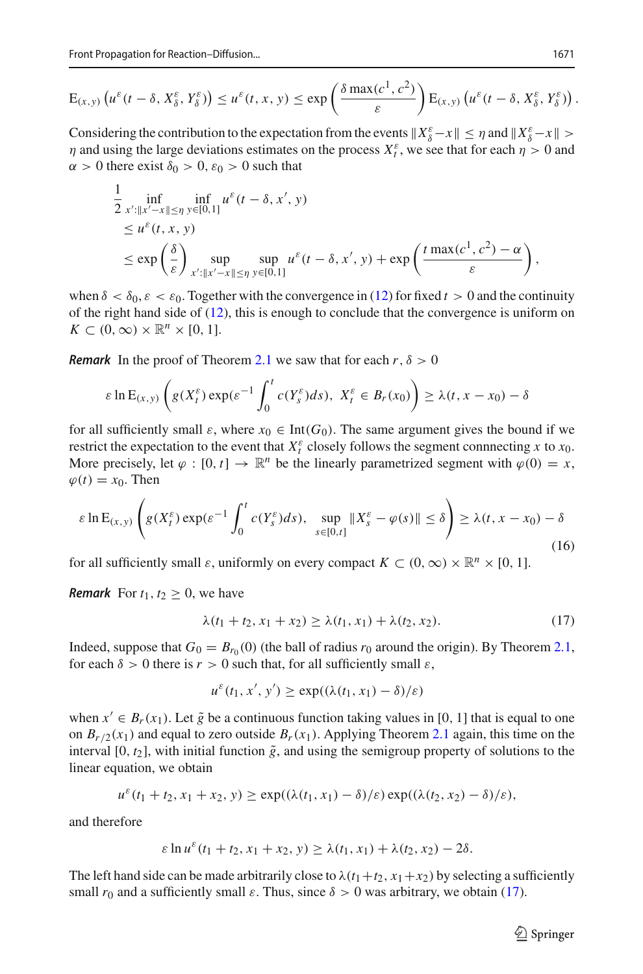$$
E_{(x,y)}\left(u^{\varepsilon}(t-\delta, X_{\delta}^{\varepsilon}, Y_{\delta}^{\varepsilon})\right)\leq u^{\varepsilon}(t,x,y)\leq \exp\left(\frac{\delta \max(c^1,c^2)}{\varepsilon}\right)E_{(x,y)}\left(u^{\varepsilon}(t-\delta, X_{\delta}^{\varepsilon}, Y_{\delta}^{\varepsilon})\right).
$$

Considering the contribution to the expectation from the events  $X_{\delta}^{\varepsilon} - x \le \eta$  and  $X_{\delta}^{\varepsilon} - x \le \eta$  $\eta$  and using the large deviations estimates on the process  $X_t^{\varepsilon}$ , we see that for each  $\eta > 0$  and  $\alpha > 0$  there exist  $\delta_0 > 0$ ,  $\varepsilon_0 > 0$  such that

$$
\frac{1}{2} \inf_{x':\|x'-x\|\leq \eta} \inf_{y\in [0,1]} u^{\varepsilon}(t-\delta,x',y) \n\leq u^{\varepsilon}(t,x,y) \n\leq \exp\left(\frac{\delta}{\varepsilon}\right) \sup_{x':\|x'-x\|\leq \eta} \sup_{y\in [0,1]} u^{\varepsilon}(t-\delta,x',y) + \exp\left(\frac{t \max(c^1,c^2)-\alpha}{\varepsilon}\right),
$$

when  $\delta < \delta_0$ ,  $\varepsilon < \varepsilon_0$ . Together with the convergence in [\(12\)](#page-6-2) for fixed  $t > 0$  and the continuity of the right hand side of [\(12\)](#page-6-2), this is enough to conclude that the convergence is uniform on  $K \subset (0,\infty) \times \mathbb{R}^n \times [0,1].$ 

*Remark* In the proof of Theorem [2.1](#page-6-3) we saw that for each  $r, \delta > 0$ 

$$
\varepsilon \ln \mathcal{E}_{(x,y)} \left( g(X_t^{\varepsilon}) \exp(\varepsilon^{-1} \int_0^t c(Y_s^{\varepsilon}) ds), \ X_t^{\varepsilon} \in B_r(x_0) \right) \geq \lambda(t, x - x_0) - \delta
$$

for all sufficiently small  $\varepsilon$ , where  $x_0 \in \text{Int}(G_0)$ . The same argument gives the bound if we restrict the expectation to the event that  $X_t^{\varepsilon}$  closely follows the segment connnecting *x* to  $x_0$ . More precisely, let  $\varphi : [0, t] \to \mathbb{R}^n$  be the linearly parametrized segment with  $\varphi(0) = x$ ,  $\varphi(t) = x_0$ . Then

<span id="page-8-1"></span>
$$
\varepsilon \ln \mathcal{E}_{(x,y)} \left( g(X_t^{\varepsilon}) \exp(\varepsilon^{-1} \int_0^t c(Y_s^{\varepsilon}) ds), \sup_{s \in [0,t]} \| X_s^{\varepsilon} - \varphi(s) \| \le \delta \right) \ge \lambda(t, x - x_0) - \delta
$$
\n(16)

for all sufficiently small  $\varepsilon$ , uniformly on every compact  $K \subset (0,\infty) \times \mathbb{R}^n \times [0,1]$ .

*Remark* For  $t_1, t_2 \geq 0$ , we have

<span id="page-8-0"></span>
$$
\lambda(t_1 + t_2, x_1 + x_2) \ge \lambda(t_1, x_1) + \lambda(t_2, x_2). \tag{17}
$$

Indeed, suppose that  $G_0 = B_{r_0}(0)$  (the ball of radius  $r_0$  around the origin). By Theorem [2.1,](#page-6-3) for each  $\delta > 0$  there is  $r > 0$  such that, for all sufficiently small  $\varepsilon$ ,

 $u^{\varepsilon}(t_1, x', y') \ge \exp((\lambda(t_1, x_1) - \delta)/\varepsilon)$ 

when  $x' \in B_r(x_1)$ . Let  $\tilde{g}$  be a continuous function taking values in [0, 1] that is equal to one on  $B_r/2(x_1)$  and equal to zero outside  $B_r(x_1)$ . Applying Theorem [2.1](#page-6-3) again, this time on the interval  $[0, t_2]$ , with initial function  $\tilde{g}$ , and using the semigroup property of solutions to the linear equation, we obtain

$$
u^{\varepsilon}(t_1+t_2, x_1+x_2, y) \ge \exp((\lambda(t_1, x_1)-\delta)/\varepsilon)\exp((\lambda(t_2, x_2)-\delta)/\varepsilon),
$$

and therefore

$$
\varepsilon \ln u^{\varepsilon}(t_1 + t_2, x_1 + x_2, y) \geq \lambda(t_1, x_1) + \lambda(t_2, x_2) - 2\delta.
$$

The left hand side can be made arbitrarily close to  $\lambda(t_1+t_2, x_1+x_2)$  by selecting a sufficiently small  $r_0$  and a sufficiently small  $\varepsilon$ . Thus, since  $\delta > 0$  was arbitrary, we obtain [\(17\)](#page-8-0).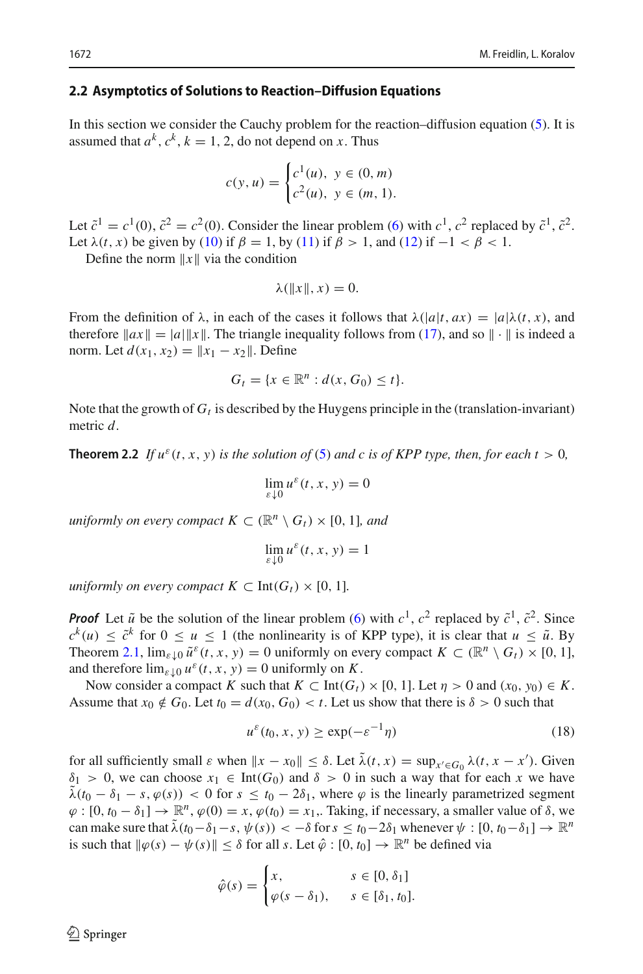### <span id="page-9-1"></span>**2.2 Asymptotics of Solutions to Reaction–Diffusion Equations**

In this section we consider the Cauchy problem for the reaction–diffusion equation  $(5)$ . It is assumed that  $a^k$ ,  $c^k$ ,  $k = 1, 2$ , do not depend on *x*. Thus

$$
c(y, u) = \begin{cases} c^1(u), & y \in (0, m) \\ c^2(u), & y \in (m, 1). \end{cases}
$$

Let  $\tilde{c}^1 = c^1(0), \tilde{c}^2 = c^2(0)$ . Consider the linear problem [\(6\)](#page-4-1) with  $c^1$ ,  $c^2$  replaced by  $\tilde{c}^1$ ,  $\tilde{c}^2$ . Let  $\lambda(t, x)$  be given by [\(10\)](#page-6-0) if  $\beta = 1$ , by [\(11\)](#page-6-1) if  $\beta > 1$ , and [\(12\)](#page-6-2) if  $-1 < \beta < 1$ .

Define the norm  $||x||$  via the condition

$$
\lambda(\|x\|,x)=0.
$$

From the definition of  $\lambda$ , in each of the cases it follows that  $\lambda(|a|t, ax) = |a|\lambda(t, x)$ , and therefore  $\|ax\| = |a|\|x\|$ . The triangle inequality follows from [\(17\)](#page-8-0), and so  $\|\cdot\|$  is indeed a norm. Let  $d(x_1, x_2) = ||x_1 - x_2||$ . Define

$$
G_t = \{x \in \mathbb{R}^n : d(x, G_0) \le t\}.
$$

<span id="page-9-2"></span>Note that the growth of  $G_t$  is described by the Huygens principle in the (translation-invariant) metric *d*.

**Theorem 2.2** *If*  $u^{\varepsilon}(t, x, y)$  *is the solution of* [\(5\)](#page-3-0) *and c is of KPP type, then, for each t* > 0*,* 

$$
\lim_{\varepsilon \downarrow 0} u^{\varepsilon}(t, x, y) = 0
$$

*uniformly on every compact*  $K \subset (\mathbb{R}^n \setminus G_t) \times [0, 1]$ *, and* 

$$
\lim_{\varepsilon \downarrow 0} u^{\varepsilon}(t, x, y) = 1
$$

*uniformly on every compact*  $K \subset Int(G_t) \times [0, 1]$ *.* 

*Proof* Let  $\tilde{u}$  be the solution of the linear problem [\(6\)](#page-4-1) with  $c^1$ ,  $c^2$  replaced by  $\tilde{c}^1$ ,  $\tilde{c}^2$ . Since  $c^{k}(u) < \tilde{c}^{k}$  for  $0 \le u \le 1$  (the nonlinearity is of KPP type), it is clear that  $u \le \tilde{u}$ . By Theorem [2.1,](#page-6-3)  $\lim_{\varepsilon \downarrow 0} \tilde{u}^{\varepsilon}(t, x, y) = 0$  uniformly on every compact  $K \subset (\mathbb{R}^n \setminus G_t) \times [0, 1]$ , and therefore  $\lim_{\varepsilon \downarrow 0} u^{\varepsilon}(t, x, y) = 0$  uniformly on *K*.

Now consider a compact *K* such that  $K \subset Int(G_t) \times [0, 1]$ . Let  $\eta > 0$  and  $(x_0, y_0) \in K$ . Assume that  $x_0 \notin G_0$ . Let  $t_0 = d(x_0, G_0) < t$ . Let us show that there is  $\delta > 0$  such that

<span id="page-9-0"></span>
$$
u^{\varepsilon}(t_0, x, y) \ge \exp(-\varepsilon^{-1}\eta)
$$
\n(18)

for all sufficiently small  $\varepsilon$  when  $\|x - x_0\| \le \delta$ . Let  $\lambda(t, x) = \sup_{x' \in G_0} \lambda(t, x - x')$ . Given  $\delta_1 > 0$ , we can choose  $x_1 \in Int(G_0)$  and  $\delta > 0$  in such a way that for each x we have  $\lambda(t_0 - \delta_1 - s, \varphi(s)) < 0$  for  $s \le t_0 - 2\delta_1$ , where  $\varphi$  is the linearly parametrized segment  $\varphi : [0, t_0 - \delta_1] \to \mathbb{R}^n$ ,  $\varphi(0) = x$ ,  $\varphi(t_0) = x_1$ . Taking, if necessary, a smaller value of  $\delta$ , we can make sure that  $\lambda(t_0 - \delta_1 - s, \psi(s)) < -\delta$  for  $s \le t_0 - 2\delta_1$  whenever  $\psi : [0, t_0 - \delta_1] \to \mathbb{R}^n$ is such that  $\|\varphi(s) - \psi(s)\| \leq \delta$  for all *s*. Let  $\hat{\varphi} : [0, t_0] \to \mathbb{R}^n$  be defined via

$$
\hat{\varphi}(s) = \begin{cases} x, & s \in [0, \delta_1] \\ \varphi(s - \delta_1), & s \in [\delta_1, t_0]. \end{cases}
$$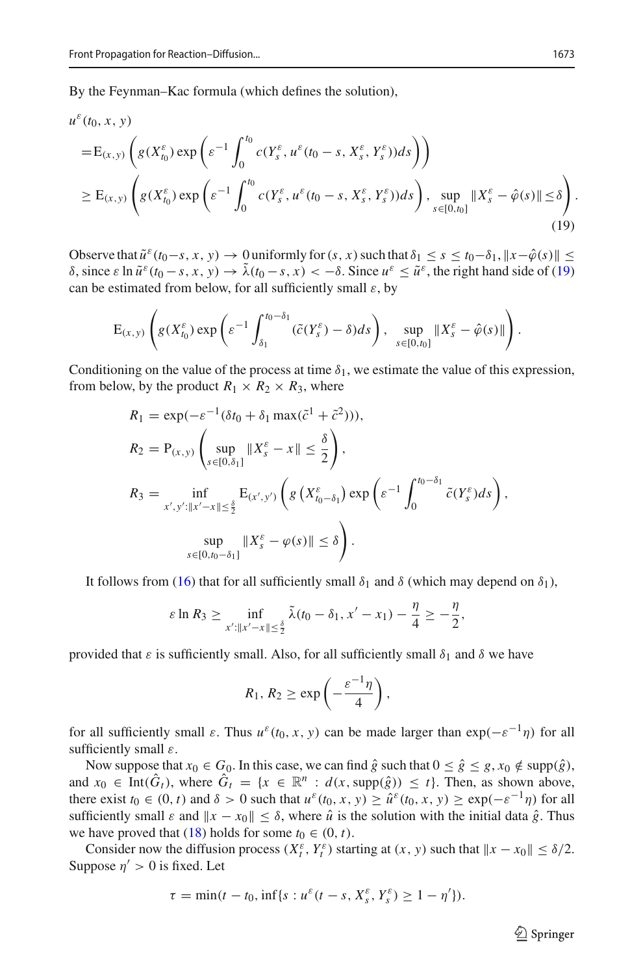By the Feynman–Kac formula (which defines the solution),

$$
u^{\varepsilon}(t_{0}, x, y)
$$
\n
$$
= E_{(x,y)} \left( g(X_{t_{0}}^{\varepsilon}) \exp \left( \varepsilon^{-1} \int_{0}^{t_{0}} c(Y_{s}^{\varepsilon}, u^{\varepsilon}(t_{0} - s, X_{s}^{\varepsilon}, Y_{s}^{\varepsilon})) ds \right) \right)
$$
\n
$$
\geq E_{(x,y)} \left( g(X_{t_{0}}^{\varepsilon}) \exp \left( \varepsilon^{-1} \int_{0}^{t_{0}} c(Y_{s}^{\varepsilon}, u^{\varepsilon}(t_{0} - s, X_{s}^{\varepsilon}, Y_{s}^{\varepsilon})) ds \right), \sup_{s \in [0, t_{0}]} \| X_{s}^{\varepsilon} - \hat{\varphi}(s) \| \leq \delta \right).
$$
\n(19)

Observe that  $\tilde{u}^{\varepsilon}(t_0-s, x, y) \to 0$  uniformly for  $(s, x)$  such that  $\delta_1 \leq s \leq t_0-\delta_1$ ,  $||x-\hat{\varphi}(s)|| \leq$ δ, since ε ln  $\tilde{u}^ε(t_0 - s, x, y)$  →  $\tilde{λ}(t_0 - s, x) < -δ$ . Since  $u^ε ≤ \tilde{u}^ε$ , the right hand side of [\(19\)](#page-10-0) can be estimated from below, for all sufficiently small  $\varepsilon$ , by

<span id="page-10-0"></span>
$$
\mathrm{E}_{(x,y)}\left(g(X_{t_0}^{\varepsilon})\exp\left(\varepsilon^{-1}\int_{\delta_1}^{t_0-\delta_1}(\tilde{c}(Y_s^{\varepsilon})-\delta)ds\right),\ \sup_{s\in[0,t_0]}\|X_s^{\varepsilon}-\hat{\varphi}(s)\|\right).
$$

Conditioning on the value of the process at time  $\delta_1$ , we estimate the value of this expression, from below, by the product  $R_1 \times R_2 \times R_3$ , where

$$
R_1 = \exp(-\varepsilon^{-1}(\delta t_0 + \delta_1 \max(\tilde{c}^1 + \tilde{c}^2))),
$$
  
\n
$$
R_2 = P_{(x,y)} \left( \sup_{s \in [0,\delta_1]} \|X_s^{\varepsilon} - x\| \le \frac{\delta}{2} \right),
$$
  
\n
$$
R_3 = \inf_{x',y': \|x'-x\| \le \frac{\delta}{2}} E_{(x',y')} \left( g\left(X_{t_0-\delta_1}^{\varepsilon}\right) \exp\left(\varepsilon^{-1} \int_0^{t_0-\delta_1} \tilde{c}(Y_s^{\varepsilon}) ds\right), \sup_{s \in [0,t_0-\delta_1]} \|X_s^{\varepsilon} - \varphi(s)\| \le \delta \right).
$$

It follows from [\(16\)](#page-8-1) that for all sufficiently small  $\delta_1$  and  $\delta$  (which may depend on  $\delta_1$ ),

$$
\varepsilon \ln R_3 \geq \inf_{x':\|x'-x\| \leq \frac{\delta}{2}} \tilde{\lambda}(t_0-\delta_1,x'-x_1) - \frac{\eta}{4} \geq -\frac{\eta}{2},
$$

provided that  $\varepsilon$  is sufficiently small. Also, for all sufficiently small  $\delta_1$  and  $\delta$  we have

$$
R_1, R_2 \geq \exp\left(-\frac{\varepsilon^{-1}\eta}{4}\right),\,
$$

for all sufficiently small  $\varepsilon$ . Thus  $u^{\varepsilon}(t_0, x, y)$  can be made larger than  $\exp(-\varepsilon^{-1}\eta)$  for all sufficiently small  $\varepsilon$ .

Now suppose that  $x_0 \in G_0$ . In this case, we can find  $\hat{g}$  such that  $0 \le \hat{g} \le g$ ,  $x_0 \notin \text{supp}(\hat{g})$ , and  $x_0 \in \text{Int}(\hat{G}_t)$ , where  $\hat{G}_t = \{x \in \mathbb{R}^n : d(x, \text{supp}(\hat{g})) \le t\}$ . Then, as shown above, there exist  $t_0 \in (0, t)$  and  $\delta > 0$  such that  $u^\varepsilon(t_0, x, y) \geq \hat{u}^\varepsilon(t_0, x, y) \geq \exp(-\varepsilon^{-1}\eta)$  for all sufficiently small  $\varepsilon$  and  $||x - x_0|| \le \delta$ , where  $\hat{u}$  is the solution with the initial data  $\hat{g}$ . Thus we have proved that [\(18\)](#page-9-0) holds for some  $t_0 \in (0, t)$ .

Consider now the diffusion process  $(X_t^{\varepsilon}, Y_t^{\varepsilon})$  starting at  $(x, y)$  such that  $||x - x_0|| \le \delta/2$ . Suppose  $\eta' > 0$  is fixed. Let

$$
\tau = \min(t - t_0, \inf\{s : u^{\varepsilon}(t - s, X^{\varepsilon}_s, Y^{\varepsilon}_s) \ge 1 - \eta'\}).
$$

 $\circled{2}$  Springer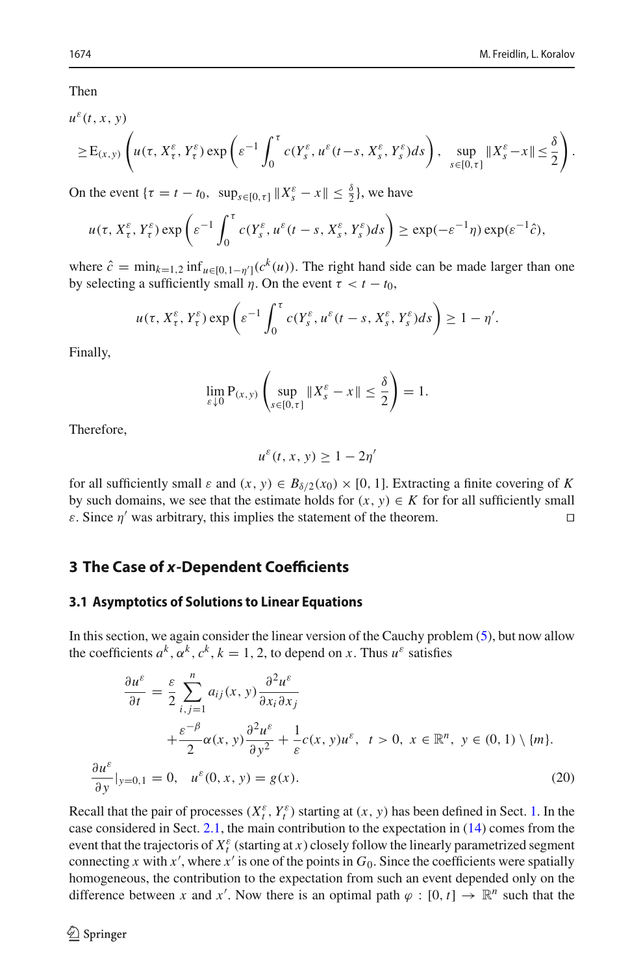Then

$$
u^{\varepsilon}(t,x,y)
$$

$$
\geq E_{(x,y)}\left(u(\tau,X_t^{\varepsilon},Y_t^{\varepsilon})\exp\left(\varepsilon^{-1}\int_0^{\tau}c(Y_s^{\varepsilon},u^{\varepsilon}(t-s,X_s^{\varepsilon},Y_s^{\varepsilon})ds\right),\sup_{s\in[0,\tau]}\|X_s^{\varepsilon}-x\|\leq\frac{\delta}{2}\right).
$$

On the event  $\{\tau = t - t_0, \sup_{s \in [0, \tau]} \|X_s^{\varepsilon} - x\| \leq \frac{\delta}{2}\},\$ we have

$$
u(\tau, X_{\tau}^{\varepsilon}, Y_{\tau}^{\varepsilon}) \exp\left(\varepsilon^{-1} \int_0^{\tau} c(Y_s^{\varepsilon}, u^{\varepsilon}(t-s, X_s^{\varepsilon}, Y_s^{\varepsilon}) ds\right) \geq \exp(-\varepsilon^{-1} \eta) \exp(\varepsilon^{-1} \hat{c}),
$$

where  $\hat{c} = \min_{k=1,2} \inf_{u \in [0,1-\eta']} (c^k(u))$ . The right hand side can be made larger than one by selecting a sufficiently small  $\eta$ . On the event  $\tau < t - t_0$ ,

$$
u(\tau, X_{\tau}^{\varepsilon}, Y_{\tau}^{\varepsilon}) \exp\left(\varepsilon^{-1} \int_0^{\tau} c(Y_s^{\varepsilon}, u^{\varepsilon}(t-s, X_s^{\varepsilon}, Y_s^{\varepsilon}) ds\right) \geq 1 - \eta'.
$$

Finally,

$$
\lim_{\varepsilon \downarrow 0} \mathbf{P}_{(x,y)} \left( \sup_{s \in [0,\tau]} \|X_s^{\varepsilon} - x\| \le \frac{\delta}{2} \right) = 1.
$$

Therefore,

$$
u^{\varepsilon}(t,x,y)\geq 1-2\eta'
$$

for all sufficiently small  $\varepsilon$  and  $(x, y) \in B_{\delta/2}(x_0) \times [0, 1]$ . Extracting a finite covering of *K* by such domains, we see that the estimate holds for  $(x, y) \in K$  for for all sufficiently small  $\varepsilon$ . Since  $n'$  was arbitrary, this implies the statement of the theorem.  $\varepsilon$ . Since  $\eta'$  was arbitrary, this implies the statement of the theorem.

# <span id="page-11-0"></span>**3 The Case of** *x***-Dependent Coefficients**

#### <span id="page-11-2"></span>**3.1 Asymptotics of Solutions to Linear Equations**

In this section, we again consider the linear version of the Cauchy problem  $(5)$ , but now allow the coefficients  $a^k$ ,  $\alpha^k$ ,  $c^k$ ,  $k = 1, 2$ , to depend on *x*. Thus  $u^{\varepsilon}$  satisfies

<span id="page-11-1"></span>
$$
\frac{\partial u^{\varepsilon}}{\partial t} = \frac{\varepsilon}{2} \sum_{i,j=1}^{n} a_{ij}(x, y) \frac{\partial^2 u^{\varepsilon}}{\partial x_i \partial x_j}
$$
  
+ 
$$
\frac{\varepsilon^{-\beta}}{2} \alpha(x, y) \frac{\partial^2 u^{\varepsilon}}{\partial y^2} + \frac{1}{\varepsilon} c(x, y) u^{\varepsilon}, \ t > 0, \ x \in \mathbb{R}^n, \ y \in (0, 1) \setminus \{m\}.
$$
  

$$
\frac{\partial u^{\varepsilon}}{\partial y}|_{y=0,1} = 0, \ u^{\varepsilon}(0, x, y) = g(x).
$$
 (20)

Recall that the pair of processes  $(X_t^{\varepsilon}, Y_t^{\varepsilon})$  starting at  $(x, y)$  has been defined in Sect. [1.](#page-0-1) In the case considered in Sect. [2.1,](#page-4-2) the main contribution to the expectation in [\(14\)](#page-7-0) comes from the event that the trajectoris of  $X_t^{\varepsilon}$  (starting at *x*) closely follow the linearly parametrized segment connecting *x* with *x*<sup> $\prime$ </sup>, where *x*<sup> $\prime$ </sup> is one of the points in  $G_0$ . Since the coefficients were spatially homogeneous, the contribution to the expectation from such an event depended only on the difference between *x* and *x'*. Now there is an optimal path  $\varphi : [0, t] \to \mathbb{R}^n$  such that the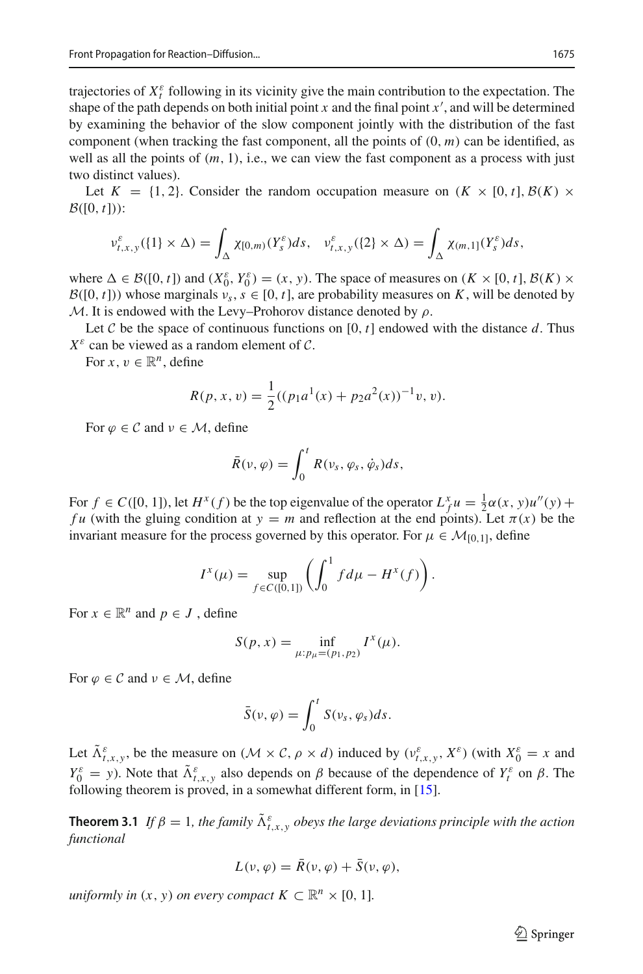trajectories of  $X_t^{\varepsilon}$  following in its vicinity give the main contribution to the expectation. The shape of the path depends on both initial point  $x$  and the final point  $x'$ , and will be determined by examining the behavior of the slow component jointly with the distribution of the fast component (when tracking the fast component, all the points of  $(0, m)$  can be identified, as well as all the points of  $(m, 1)$ , i.e., we can view the fast component as a process with just two distinct values).

Let  $K = \{1, 2\}$ . Consider the random occupation measure on  $(K \times [0, t], \mathcal{B}(K) \times$  $\mathcal{B}([0, t]))$ :

$$
\nu_{t,x,y}^{\varepsilon}(\{1\}\times\Delta)=\int_{\Delta}\chi_{[0,m)}(Y_{s}^{\varepsilon})ds,\quad\nu_{t,x,y}^{\varepsilon}(\{2\}\times\Delta)=\int_{\Delta}\chi_{(m,1]}(Y_{s}^{\varepsilon})ds,
$$

where  $\Delta \in \mathcal{B}([0, t])$  and  $(X_0^{\varepsilon}, Y_0^{\varepsilon}) = (x, y)$ . The space of measures on  $(K \times [0, t], \mathcal{B}(K) \times$  $B([0, t])$ ) whose marginals  $v_s$ ,  $s \in [0, t]$ , are probability measures on *K*, will be denoted by *M*. It is endowed with the Levy–Prohorov distance denoted by  $\rho$ .

Let C be the space of continuous functions on [0,  $t$ ] endowed with the distance d. Thus  $X^{\varepsilon}$  can be viewed as a random element of *C*.

For  $x, v \in \mathbb{R}^n$ , define

$$
R(p, x, v) = \frac{1}{2}((p_1 a^1(x) + p_2 a^2(x))^{-1}v, v).
$$

For  $\varphi \in \mathcal{C}$  and  $\nu \in \mathcal{M}$ , define

$$
\bar{R}(\nu,\varphi)=\int_0^t R(\nu_s,\varphi_s,\dot{\varphi}_s)ds,
$$

For  $f \in C([0, 1])$ , let  $H^x(f)$  be the top eigenvalue of the operator  $L_f^x u = \frac{1}{2}\alpha(x, y)u''(y) +$ *fu* (with the gluing condition at  $y = m$  and reflection at the end points). Let  $\pi(x)$  be the invariant measure for the process governed by this operator. For  $\mu \in \mathcal{M}_{[0,1]}$ , define

$$
I^{x}(\mu) = \sup_{f \in C([0,1])} \left( \int_{0}^{1} f d\mu - H^{x}(f) \right).
$$

For  $x \in \mathbb{R}^n$  and  $p \in J$ , define

$$
S(p, x) = \inf_{\mu: p_{\mu} = (p_1, p_2)} I^x(\mu).
$$

For  $\varphi \in \mathcal{C}$  and  $\nu \in \mathcal{M}$ , define

$$
\bar{S}(\nu,\varphi)=\int_0^t S(\nu_s,\varphi_s)ds.
$$

Let  $\tilde{\Lambda}_{t,x,y}^{\varepsilon}$ , be the measure on  $(M \times C, \rho \times d)$  induced by  $(\nu_{t,x,y}^{\varepsilon}, X^{\varepsilon})$  (with  $X_0^{\varepsilon} = x$  and  $Y_0^{\varepsilon} = y$ ). Note that  $\tilde{\Lambda}_{t,x,y}^{\varepsilon}$  also depends on  $\beta$  because of the dependence of  $Y_t^{\varepsilon}$  on  $\beta$ . The following theorem is proved, in a somewhat different form, in [\[15\]](#page-18-3).

<span id="page-12-0"></span>**Theorem 3.1** *If*  $\beta = 1$ , the family  $\tilde{\Lambda}_{t,x,y}^{\varepsilon}$  *obeys the large deviations principle with the action functional*

$$
L(\nu,\varphi)=\bar{R}(\nu,\varphi)+\bar{S}(\nu,\varphi),
$$

*uniformly in*  $(x, y)$  *on every compact*  $K \subset \mathbb{R}^n \times [0, 1]$ *.* 

 $\circled{2}$  Springer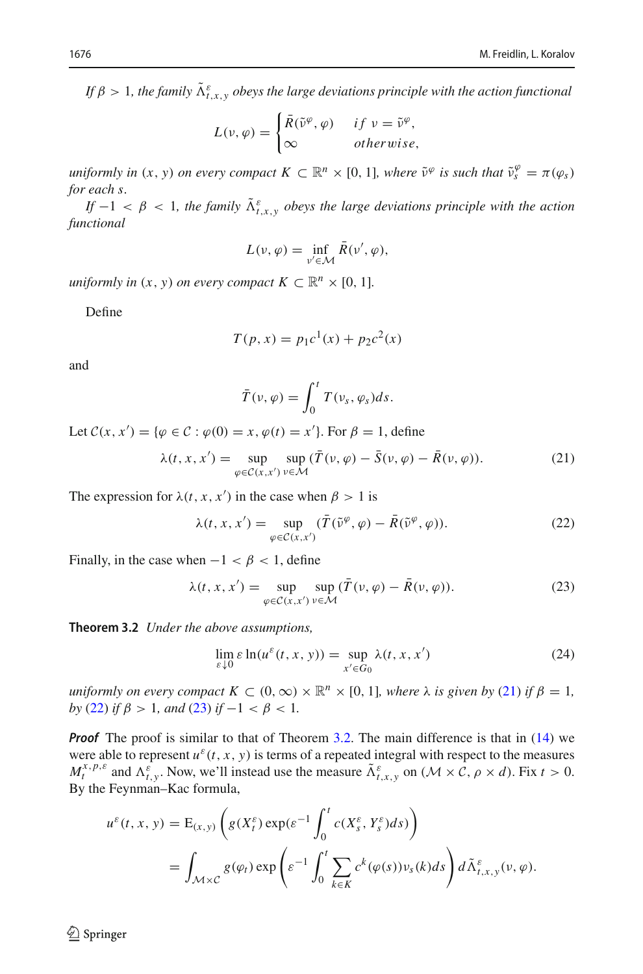*If*  $\beta > 1$ , the family  $\tilde{\Lambda}_{t,x,y}^{\varepsilon}$  *obeys the large deviations principle with the action functional* 

$$
L(\nu, \varphi) = \begin{cases} \bar{R}(\tilde{\nu}^{\varphi}, \varphi) & \text{if } \nu = \tilde{\nu}^{\varphi}, \\ \infty & \text{otherwise}, \end{cases}
$$

*uniformly in*  $(x, y)$  *on every compact*  $K \subset \mathbb{R}^n \times [0, 1]$ *, where*  $\tilde{v}^{\varphi}$  *is such that*  $\tilde{v}_s^{\varphi} = \pi(\varphi_s)$ *for each s.*

*If*  $-1 < \beta < 1$ , the family  $\tilde{\Lambda}_{t,x,y}^{\varepsilon}$  obeys the large deviations principle with the action *functional*

$$
L(\nu,\varphi)=\inf_{\nu'\in\mathcal{M}}\bar{R}(\nu',\varphi),
$$

*uniformly in*  $(x, y)$  *on every compact*  $K \subset \mathbb{R}^n \times [0, 1]$ *.* 

Define

$$
T(p, x) = p_1 c^1(x) + p_2 c^2(x)
$$

and

$$
\bar{T}(\nu,\varphi)=\int_0^t T(\nu_s,\varphi_s)ds.
$$

Let  $C(x, x') = {\varphi \in C : \varphi(0) = x, \varphi(t) = x'}$ . For  $\beta = 1$ , define

<span id="page-13-0"></span>
$$
\lambda(t, x, x') = \sup_{\varphi \in \mathcal{C}(x, x')} \sup_{\nu \in \mathcal{M}} (\overline{T}(\nu, \varphi) - \overline{S}(\nu, \varphi) - \overline{R}(\nu, \varphi)). \tag{21}
$$

The expression for  $\lambda(t, x, x')$  in the case when  $\beta > 1$  is

<span id="page-13-1"></span>
$$
\lambda(t, x, x') = \sup_{\varphi \in \mathcal{C}(x, x')} (\overline{T}(\tilde{\nu}^{\varphi}, \varphi) - \overline{R}(\tilde{\nu}^{\varphi}, \varphi)). \tag{22}
$$

Finally, in the case when  $-1 < \beta < 1$ , define

<span id="page-13-2"></span>
$$
\lambda(t, x, x') = \sup_{\varphi \in \mathcal{C}(x, x')} \sup_{\nu \in \mathcal{M}} (\overline{T}(\nu, \varphi) - \overline{R}(\nu, \varphi)).
$$
\n(23)

<span id="page-13-3"></span>**Theorem 3.2** *Under the above assumptions,*

<span id="page-13-4"></span>
$$
\lim_{\varepsilon \downarrow 0} \varepsilon \ln(u^{\varepsilon}(t, x, y)) = \sup_{x' \in G_0} \lambda(t, x, x')
$$
\n(24)

*uniformly on every compact*  $K \subset (0, \infty) \times \mathbb{R}^n \times [0, 1]$ *, where*  $\lambda$  *is given by* [\(21\)](#page-13-0) *if*  $\beta = 1$ *, by* [\(22\)](#page-13-1) *if*  $\beta > 1$ *, and* [\(23\)](#page-13-2) *if*  $-1 < \beta < 1$ *.* 

**Proof** The proof is similar to that of Theorem [3.2.](#page-13-3) The main difference is that in [\(14\)](#page-7-0) we were able to represent  $u^{\varepsilon}(t, x, y)$  is terms of a repeated integral with respect to the measures  $M_t^{x, p, \varepsilon}$  and  $\Lambda_{t, y}^{\varepsilon}$ . Now, we'll instead use the measure  $\tilde{\Lambda}_{t, x, y}^{\varepsilon}$  on  $(\mathcal{M} \times \mathcal{C}, \rho \times d)$ . Fix  $t > 0$ . By the Feynman–Kac formula,

$$
u^{\varepsilon}(t, x, y) = \mathbb{E}_{(x, y)} \left( g(X_t^{\varepsilon}) \exp(\varepsilon^{-1} \int_0^t c(X_s^{\varepsilon}, Y_s^{\varepsilon}) ds) \right)
$$
  
= 
$$
\int_{\mathcal{M} \times \mathcal{C}} g(\varphi_t) \exp \left( \varepsilon^{-1} \int_0^t \sum_{k \in K} c^k (\varphi(s)) v_s(k) ds \right) d\tilde{\Lambda}_{t, x, y}^{\varepsilon}(v, \varphi).
$$

 $\circledcirc$  Springer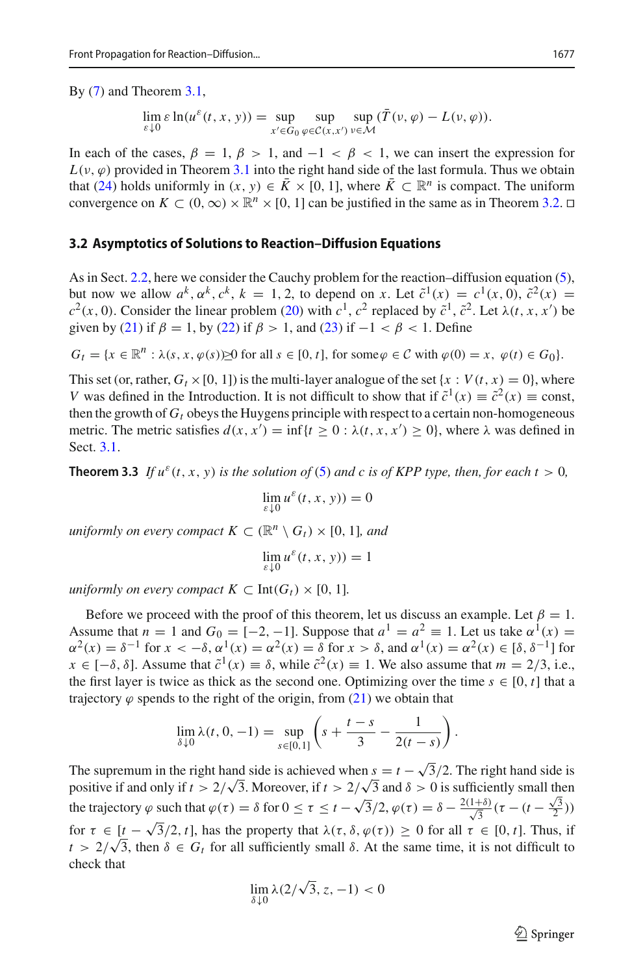By [\(7\)](#page-5-0) and Theorem [3.1,](#page-12-0)

$$
\lim_{\varepsilon \downarrow 0} \varepsilon \ln(u^{\varepsilon}(t, x, y)) = \sup_{x' \in G_0} \sup_{\varphi \in \mathcal{C}(x, x')} \sup_{\nu \in \mathcal{M}} (\overline{T}(\nu, \varphi) - L(\nu, \varphi)).
$$

In each of the cases,  $\beta = 1$ ,  $\beta > 1$ , and  $-1 < \beta < 1$ , we can insert the expression for  $L(\nu, \varphi)$  provided in Theorem [3.1](#page-12-0) into the right hand side of the last formula. Thus we obtain that [\(24\)](#page-13-4) holds uniformly in  $(x, y) \in \overline{K} \times [0, 1]$ , where  $\overline{K} \subset \mathbb{R}^n$  is compact. The uniform convergence on  $K \subset (0,\infty) \times \mathbb{R}^n \times [0,1]$  can be justified in the same as in Theorem [3.2.](#page-13-3)  $\Box$ 

#### **3.2 Asymptotics of Solutions to Reaction–Diffusion Equations**

As in Sect. [2.2,](#page-9-1) here we consider the Cauchy problem for the reaction–diffusion equation [\(5\)](#page-3-0), but now we allow  $a^k, \alpha^k, c^k, k = 1, 2$ , to depend on *x*. Let  $\tilde{c}^1(x) = c^1(x, 0), \tilde{c}^2(x) =$  $c^2(x, 0)$ . Consider the linear problem [\(20\)](#page-11-1) with  $c^1$ ,  $c^2$  replaced by  $\tilde{c}^1$ ,  $\tilde{c}^2$ . Let  $\lambda(t, x, x')$  be given by [\(21\)](#page-13-0) if  $\beta = 1$ , by [\(22\)](#page-13-1) if  $\beta > 1$ , and [\(23\)](#page-13-2) if  $-1 < \beta < 1$ . Define

$$
G_t = \{x \in \mathbb{R}^n : \lambda(s, x, \varphi(s)) \ge 0 \text{ for all } s \in [0, t], \text{ for some } \varphi \in \mathcal{C} \text{ with } \varphi(0) = x, \ \varphi(t) \in G_0\}.
$$

This set (or, rather,  $G_t \times [0, 1]$ ) is the multi-layer analogue of the set {*x* :  $V(t, x) = 0$ }, where *V* was defined in the Introduction. It is not difficult to show that if  $\tilde{c}^1(x) \equiv \tilde{c}^2(x) \equiv \text{const}$ , then the growth of  $G_t$  obeys the Huygens principle with respect to a certain non-homogeneous metric. The metric satisfies  $d(x, x') = \inf\{t \ge 0 : \lambda(t, x, x') \ge 0\}$ , where  $\lambda$  was defined in Sect. [3.1.](#page-11-2)

<span id="page-14-0"></span>**Theorem 3.3** *If*  $u^{\varepsilon}(t, x, y)$  *is the solution of* [\(5\)](#page-3-0) *and c is of KPP type, then, for each t* > 0*,* 

$$
\lim_{\varepsilon \downarrow 0} u^{\varepsilon}(t,x,y)) = 0
$$

*uniformly on every compact*  $K \subset \mathbb{R}^n \setminus G_t$   $\times$  [0, 1]*, and* 

$$
\lim_{\varepsilon \downarrow 0} u^{\varepsilon}(t,x,y)) = 1
$$

*uniformly on every compact*  $K \subset \text{Int}(G_t) \times [0, 1]$ *.* 

Before we proceed with the proof of this theorem, let us discuss an example. Let  $\beta = 1$ . Assume that  $n = 1$  and  $G_0 = [-2, -1]$ . Suppose that  $a^1 = a^2 \equiv 1$ . Let us take  $\alpha^1(x) =$  $\alpha^{2}(x) = \delta^{-1}$  for  $x < -\delta$ ,  $\alpha^{1}(x) = \alpha^{2}(x) = \delta$  for  $x > \delta$ , and  $\alpha^{1}(x) = \alpha^{2}(x) \in [\delta, \delta^{-1}]$  for  $x \in [-\delta, \delta]$ . Assume that  $\tilde{c}^1(x) \equiv \delta$ , while  $\tilde{c}^2(x) \equiv 1$ . We also assume that  $m = 2/3$ , i.e., the first layer is twice as thick as the second one. Optimizing over the time  $s \in [0, t]$  that a trajectory  $\varphi$  spends to the right of the origin, from [\(21\)](#page-13-0) we obtain that

$$
\lim_{\delta \downarrow 0} \lambda(t, 0, -1) = \sup_{s \in [0, 1]} \left( s + \frac{t - s}{3} - \frac{1}{2(t - s)} \right).
$$

The supremum in the right hand side is achieved when  $s = t - \sqrt{3}/2$ . The right hand side is positive if and only if  $t > 2/\sqrt{3}$ . Moreover, if  $t > 2/\sqrt{3}$  and  $\delta > 0$  is sufficiently small then the trajectory  $\varphi$  such that  $\varphi(\tau) = \delta$  for  $0 \le \tau \le t - \sqrt{3}/2$ ,  $\varphi(\tau) = \delta - \frac{2(1+\delta)}{\sqrt{3}}(\tau - (t - \frac{\sqrt{3}}{2}))$ for  $\tau \in [t - \sqrt{3}/2, t]$ , has the property that  $\lambda(\tau, \delta, \varphi(\tau)) \ge 0$  for all  $\tau \in [0, t]$ . Thus, if  $t > 2/\sqrt{3}$ , then  $\delta \in G_t$  for all sufficiently small  $\delta$ . At the same time, it is not difficult to check that

$$
\lim_{\delta \downarrow 0} \lambda(2/\sqrt{3}, z, -1) < 0
$$

 $\circled{2}$  Springer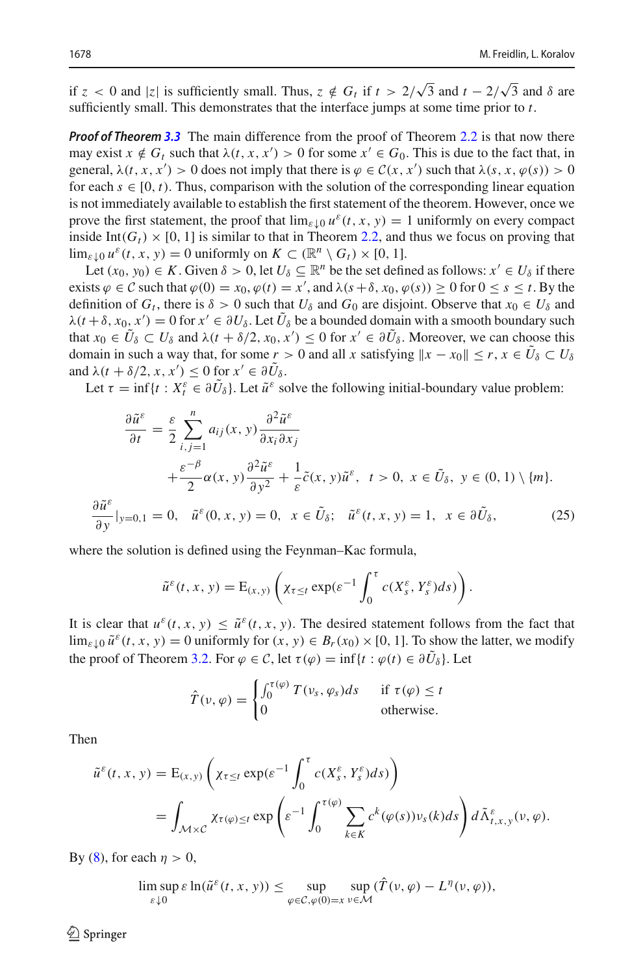if  $z < 0$  and  $|z|$  is sufficiently small. Thus,  $z \notin G_t$  if  $t > 2/\sqrt{3}$  and  $t - 2/\sqrt{3}$  and  $\delta$  are sufficiently small. This demonstrates that the interface jumps at some time prior to *t*.

*Proof of Theorem [3.3](#page-14-0)* The main difference from the proof of Theorem [2.2](#page-9-2) is that now there may exist  $x \notin G_t$  such that  $\lambda(t, x, x') > 0$  for some  $x' \in G_0$ . This is due to the fact that, in general,  $\lambda(t, x, x') > 0$  does not imply that there is  $\varphi \in C(x, x')$  such that  $\lambda(s, x, \varphi(s)) > 0$ for each  $s \in [0, t)$ . Thus, comparison with the solution of the corresponding linear equation is not immediately available to establish the first statement of the theorem. However, once we prove the first statement, the proof that  $\lim_{\varepsilon \downarrow 0} u^{\varepsilon}(t, x, y) = 1$  uniformly on every compact inside Int( $G_t$ ) × [0, 1] is similar to that in Theorem [2.2,](#page-9-2) and thus we focus on proving that  $\lim_{\varepsilon \downarrow 0} u^{\varepsilon}(t, x, y) = 0$  uniformly on  $K \subset (\mathbb{R}^n \setminus G_t) \times [0, 1].$ 

Let  $(x_0, y_0) \in K$ . Given  $\delta > 0$ , let  $U_{\delta} \subseteq \mathbb{R}^n$  be the set defined as follows:  $x' \in U_{\delta}$  if there exists  $\varphi \in \mathcal{C}$  such that  $\varphi(0) = x_0$ ,  $\varphi(t) = x'$ , and  $\lambda(s + \delta, x_0, \varphi(s)) \ge 0$  for  $0 \le s \le t$ . By the definition of  $G_t$ , there is  $\delta > 0$  such that  $U_\delta$  and  $G_0$  are disjoint. Observe that  $x_0 \in U_\delta$  and  $\lambda(t+\delta, x_0, x') = 0$  for  $x' \in \partial U_\delta$ . Let  $U_\delta$  be a bounded domain with a smooth boundary such that  $x_0 \in U_\delta \subset U_\delta$  and  $\lambda(t + \delta/2, x_0, x') \leq 0$  for  $x' \in \partial U_\delta$ . Moreover, we can choose this domain in such a way that, for some  $r > 0$  and all *x* satisfying  $||x - x_0|| \le r, x \in \tilde{U}_\delta \subset U_\delta$ and  $\lambda(t + \delta/2, x, x') \leq 0$  for  $x' \in \partial U_{\delta}$ .

Let  $\tau = \inf\{t : X_t^{\varepsilon} \in \partial \tilde{U}_\delta\}$ . Let  $\tilde{u}^{\varepsilon}$  solve the following initial-boundary value problem:

$$
\frac{\partial \tilde{u}^{\varepsilon}}{\partial t} = \frac{\varepsilon}{2} \sum_{i,j=1}^{n} a_{ij}(x, y) \frac{\partial^2 \tilde{u}^{\varepsilon}}{\partial x_i \partial x_j} \n+ \frac{\varepsilon^{-\beta}}{2} \alpha(x, y) \frac{\partial^2 \tilde{u}^{\varepsilon}}{\partial y^2} + \frac{1}{\varepsilon} \tilde{c}(x, y) \tilde{u}^{\varepsilon}, \ t > 0, \ x \in \tilde{U}_{\delta}, \ y \in (0, 1) \setminus \{m\}.
$$
\n
$$
\frac{\partial \tilde{u}^{\varepsilon}}{\partial y}|_{y=0,1} = 0, \ \ \tilde{u}^{\varepsilon}(0, x, y) = 0, \ \ x \in \tilde{U}_{\delta}; \ \ \tilde{u}^{\varepsilon}(t, x, y) = 1, \ \ x \in \partial \tilde{U}_{\delta}, \tag{25}
$$

where the solution is defined using the Feynman–Kac formula,

$$
\tilde{u}^{\varepsilon}(t, x, y) = \mathbb{E}_{(x, y)} \left( \chi_{\tau \leq t} \exp(\varepsilon^{-1} \int_0^{\tau} c(X_s^{\varepsilon}, Y_s^{\varepsilon}) ds) \right).
$$

It is clear that  $u^{\varepsilon}(t, x, y) \leq \tilde{u}^{\varepsilon}(t, x, y)$ . The desired statement follows from the fact that  $\lim_{\varepsilon \downarrow 0} \tilde{u}^{\varepsilon}(t, x, y) = 0$  uniformly for  $(x, y) \in B_r(x_0) \times [0, 1]$ . To show the latter, we modify the proof of Theorem [3.2.](#page-13-3) For  $\varphi \in C$ , let  $\tau(\varphi) = \inf\{t : \varphi(t) \in \partial \tilde{U}_{\delta}\}\)$ . Let

$$
\hat{T}(\nu,\varphi) = \begin{cases}\n\int_0^{\tau(\varphi)} T(\nu_s,\varphi_s) ds & \text{if } \tau(\varphi) \leq t \\
0 & \text{otherwise.} \n\end{cases}
$$

Then

$$
\tilde{u}^{\varepsilon}(t, x, y) = \mathcal{E}_{(x, y)} \left( \chi_{\tau \le t} \exp(\varepsilon^{-1} \int_0^{\tau} c(X_s^{\varepsilon}, Y_s^{\varepsilon}) ds) \right)
$$
  
= 
$$
\int_{\mathcal{M} \times \mathcal{C}} \chi_{\tau(\varphi) \le t} \exp \left( \varepsilon^{-1} \int_0^{\tau(\varphi)} \sum_{k \in K} c^k(\varphi(s)) v_s(k) ds \right) d\tilde{\Lambda}_{t, x, y}^{\varepsilon}(v, \varphi).
$$

By [\(8\)](#page-5-1), for each  $\eta > 0$ ,

 $\limsup_{n \to \infty} \varepsilon \ln(\tilde{u}^{\varepsilon}(t, x, y)) \leq \sup$ ε↓0 ϕ∈*C*,ϕ(0)=*x* ν∈*M*  $\sup_{\psi} (\hat{T}(\nu, \varphi) - L^{\eta}(\nu, \varphi)),$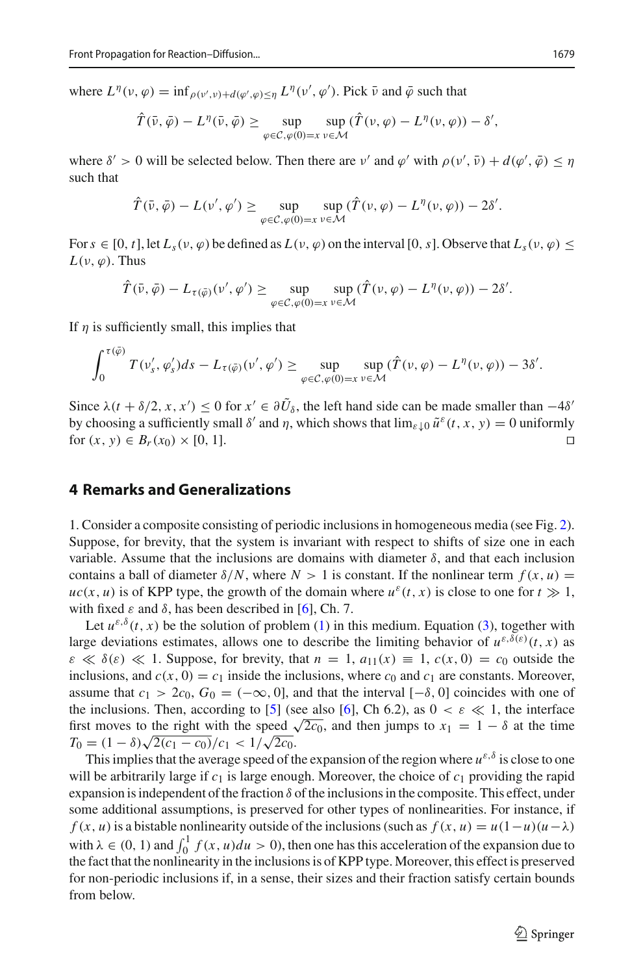where  $L^{\eta}(v, \varphi) = \inf_{\rho(v', v) + d(\varphi', \varphi) \leq \eta} L^{\eta}(v', \varphi')$ . Pick  $\bar{v}$  and  $\bar{\varphi}$  such that

$$
\hat{T}(\bar{\nu},\bar{\varphi})-L^{\eta}(\bar{\nu},\bar{\varphi})\geq \sup_{\varphi\in\mathcal{C},\varphi(0)=x}\sup_{\nu\in\mathcal{M}}(\hat{T}(\nu,\varphi)-L^{\eta}(\nu,\varphi))-\delta',
$$

where  $\delta' > 0$  will be selected below. Then there are v' and  $\varphi'$  with  $\rho(\nu', \bar{\nu}) + d(\varphi', \bar{\varphi}) \leq \eta$ such that

$$
\hat{T}(\bar{\nu},\bar{\varphi})-L(\nu',\varphi')\geq \sup_{\varphi\in\mathcal{C},\varphi(0)=x}\sup_{\nu\in\mathcal{M}}(\hat{T}(\nu,\varphi)-L^{\eta}(\nu,\varphi))-2\delta'.
$$

For  $s \in [0, t]$ , let  $L_s(v, \varphi)$  be defined as  $L(v, \varphi)$  on the interval [0, s]. Observe that  $L_s(v, \varphi) \leq$  $L(\nu, \varphi)$ . Thus

$$
\hat{T}(\bar{\nu},\bar{\varphi})-L_{\tau(\bar{\varphi})}(\nu',\varphi')\geq \sup_{\varphi\in\mathcal{C},\varphi(0)=x}\sup_{\nu\in\mathcal{M}}(\hat{T}(\nu,\varphi)-L^{\eta}(\nu,\varphi))-2\delta'.
$$

If  $\eta$  is sufficiently small, this implies that

$$
\int_0^{\tau(\bar{\varphi})} T(v'_s, \varphi'_s) ds - L_{\tau(\bar{\varphi})}(v', \varphi') \ge \sup_{\varphi \in C, \varphi(0) = x} \sup_{v \in \mathcal{M}} (\hat{T}(v, \varphi) - L^{\eta}(v, \varphi)) - 3\delta'.
$$

Since  $\lambda(t + \delta/2, x, x') \le 0$  for  $x' \in \partial U_{\delta}$ , the left hand side can be made smaller than  $-4\delta'$ by choosing a sufficiently small  $\delta'$  and  $\eta$ , which shows that  $\lim_{\varepsilon \downarrow 0} \tilde{u}^{\varepsilon}(t, x, y) = 0$  uniformly for  $(x, y) \in B_r(x_0) \times [0, 1]$ . for  $(x, y) \in B_r(x_0) \times [0, 1].$ 

### **4 Remarks and Generalizations**

1. Consider a composite consisting of periodic inclusions in homogeneous media (see Fig. [2\)](#page-2-1). Suppose, for brevity, that the system is invariant with respect to shifts of size one in each variable. Assume that the inclusions are domains with diameter  $\delta$ , and that each inclusion contains a ball of diameter  $\delta/N$ , where  $N > 1$  is constant. If the nonlinear term  $f(x, u) =$  $uc(x, u)$  is of KPP type, the growth of the domain where  $u^{\varepsilon}(t, x)$  is close to one for  $t \gg 1$ , with fixed  $\varepsilon$  and  $\delta$ , has been described in [\[6](#page-17-1)], Ch. 7.

Let  $u^{\varepsilon,\delta}(t, x)$  be the solution of problem [\(1\)](#page-0-0) in this medium. Equation [\(3\)](#page-1-1), together with large deviations estimates, allows one to describe the limiting behavior of  $u^{\varepsilon,\delta(\varepsilon)}(t, x)$  as  $\varepsilon \ll \delta(\varepsilon) \ll 1$ . Suppose, for brevity, that  $n = 1$ ,  $a_{11}(x) \equiv 1$ ,  $c(x, 0) = c_0$  outside the inclusions, and  $c(x, 0) = c_1$  inside the inclusions, where  $c_0$  and  $c_1$  are constants. Moreover, assume that  $c_1 > 2c_0$ ,  $G_0 = (-\infty, 0]$ , and that the interval  $[-\delta, 0]$  coincides with one of the inclusions. Then, according to [\[5](#page-17-7)] (see also [\[6\]](#page-17-1), Ch 6.2), as  $0 < \varepsilon \ll 1$ , the interface first moves to the right with the speed  $\sqrt{2c_0}$ , and then jumps to  $x_1 = 1 - \delta$  at the time  $T_0 = (1 - \delta) \sqrt{2(c_1 - c_0)}/c_1 < 1/\sqrt{2c_0}.$ 

This implies that the average speed of the expansion of the region where  $u^{\varepsilon,\delta}$  is close to one will be arbitrarily large if  $c_1$  is large enough. Moreover, the choice of  $c_1$  providing the rapid expansion is independent of the fraction  $\delta$  of the inclusions in the composite. This effect, under some additional assumptions, is preserved for other types of nonlinearities. For instance, if *f* (*x*, *u*) is a bistable nonlinearity outside of the inclusions (such as  $f(x, u) = u(1 - u)(u - \lambda)$ with  $\lambda \in (0, 1)$  and  $\int_0^1 f(x, u) du > 0$ , then one has this acceleration of the expansion due to the fact that the nonlinearity in the inclusions is of KPP type. Moreover, this effect is preserved for non-periodic inclusions if, in a sense, their sizes and their fraction satisfy certain bounds from below.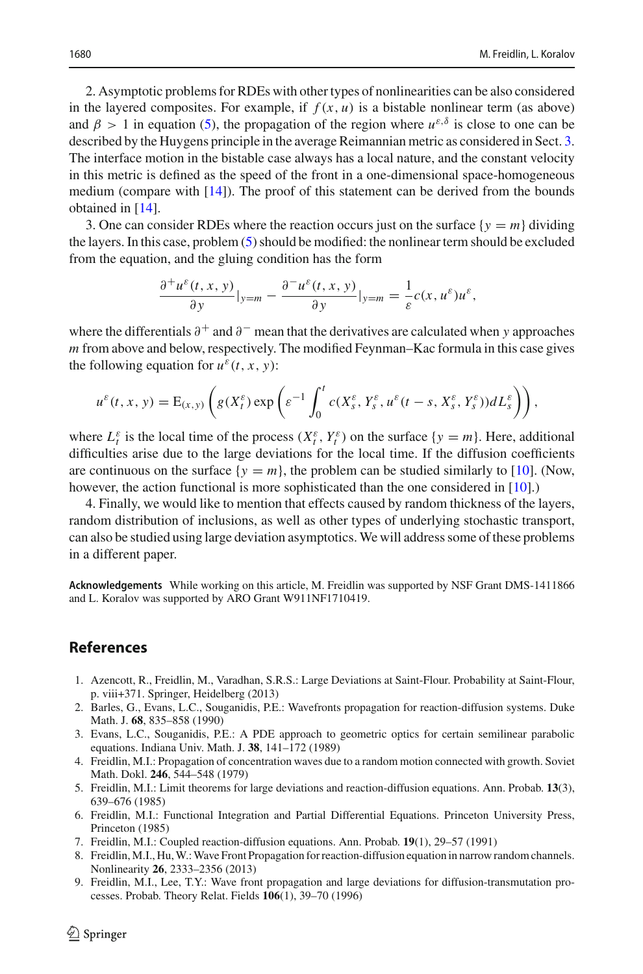2. Asymptotic problems for RDEs with other types of nonlinearities can be also considered in the layered composites. For example, if  $f(x, u)$  is a bistable nonlinear term (as above) and  $\beta > 1$  in equation [\(5\)](#page-3-0), the propagation of the region where  $u^{\varepsilon,\delta}$  is close to one can be described by the Huygens principle in the average Reimannian metric as considered in Sect. [3.](#page-11-0) The interface motion in the bistable case always has a local nature, and the constant velocity in this metric is defined as the speed of the front in a one-dimensional space-homogeneous medium (compare with  $[14]$  $[14]$ ). The proof of this statement can be derived from the bounds obtained in [\[14\]](#page-18-4).

3. One can consider RDEs where the reaction occurs just on the surface  $\{y = m\}$  dividing the layers. In this case, problem [\(5\)](#page-3-0) should be modified: the nonlinear term should be excluded from the equation, and the gluing condition has the form

$$
\frac{\partial^+ u^\varepsilon(t,x,y)}{\partial y}|_{y=m} - \frac{\partial^- u^\varepsilon(t,x,y)}{\partial y}|_{y=m} = -\frac{1}{\varepsilon}c(x,u^\varepsilon)u^\varepsilon,
$$

where the differentials ∂+ and ∂− mean that the derivatives are calculated when *y* approaches *m* from above and below, respectively. The modified Feynman–Kac formula in this case gives the following equation for  $u^{\varepsilon}(t, x, y)$ :

$$
u^{\varepsilon}(t,x,y)=\mathrm{E}_{(x,y)}\left(g(X_t^{\varepsilon})\exp\left(\varepsilon^{-1}\int_0^t c(X_s^{\varepsilon},Y_s^{\varepsilon},u^{\varepsilon}(t-s,X_s^{\varepsilon},Y_s^{\varepsilon}))dL_s^{\varepsilon}\right)\right),
$$

where  $L_t^{\varepsilon}$  is the local time of the process  $(X_t^{\varepsilon}, Y_t^{\varepsilon})$  on the surface  $\{y = m\}$ . Here, additional difficulties arise due to the large deviations for the local time. If the diffusion coefficients are continuous on the surface  $\{y = m\}$ , the problem can be studied similarly to [\[10\]](#page-18-5). (Now, however, the action functional is more sophisticated than the one considered in [\[10](#page-18-5)].)

4. Finally, we would like to mention that effects caused by random thickness of the layers, random distribution of inclusions, as well as other types of underlying stochastic transport, can also be studied using large deviation asymptotics. We will address some of these problems in a different paper.

**Acknowledgements** While working on this article, M. Freidlin was supported by NSF Grant DMS-1411866 and L. Koralov was supported by ARO Grant W911NF1710419.

# **References**

- <span id="page-17-6"></span>1. Azencott, R., Freidlin, M., Varadhan, S.R.S.: Large Deviations at Saint-Flour. Probability at Saint-Flour, p. viii+371. Springer, Heidelberg (2013)
- <span id="page-17-4"></span>2. Barles, G., Evans, L.C., Souganidis, P.E.: Wavefronts propagation for reaction-diffusion systems. Duke Math. J. **68**, 835–858 (1990)
- <span id="page-17-5"></span>3. Evans, L.C., Souganidis, P.E.: A PDE approach to geometric optics for certain semilinear parabolic equations. Indiana Univ. Math. J. **38**, 141–172 (1989)
- <span id="page-17-0"></span>4. Freidlin, M.I.: Propagation of concentration waves due to a random motion connected with growth. Soviet Math. Dokl. **246**, 544–548 (1979)
- <span id="page-17-7"></span>5. Freidlin, M.I.: Limit theorems for large deviations and reaction-diffusion equations. Ann. Probab. **13**(3), 639–676 (1985)
- <span id="page-17-1"></span>6. Freidlin, M.I.: Functional Integration and Partial Differential Equations. Princeton University Press, Princeton (1985)
- <span id="page-17-2"></span>7. Freidlin, M.I.: Coupled reaction-diffusion equations. Ann. Probab. **19**(1), 29–57 (1991)
- 8. Freidlin, M.I., Hu, W.: Wave Front Propagation for reaction-diffusion equation in narrow random channels. Nonlinearity **26**, 2333–2356 (2013)
- <span id="page-17-3"></span>9. Freidlin, M.I., Lee, T.Y.: Wave front propagation and large deviations for diffusion-transmutation processes. Probab. Theory Relat. Fields **106**(1), 39–70 (1996)